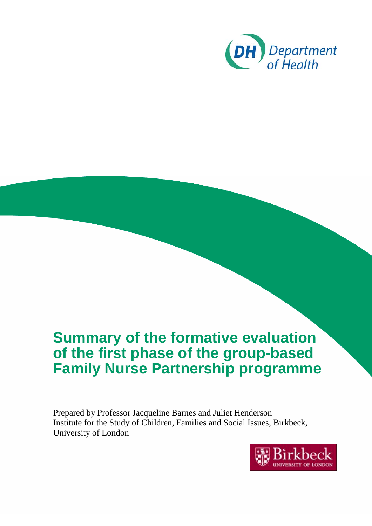

# **Summary of the formative evaluation of the first phase of the group-based Family Nurse Partnership programme**

<span id="page-0-0"></span>Prepared by Professor Jacqueline Barnes and Juliet Henderson Institute for the Study of Children, Families and Social Issues, Birkbeck, University of London

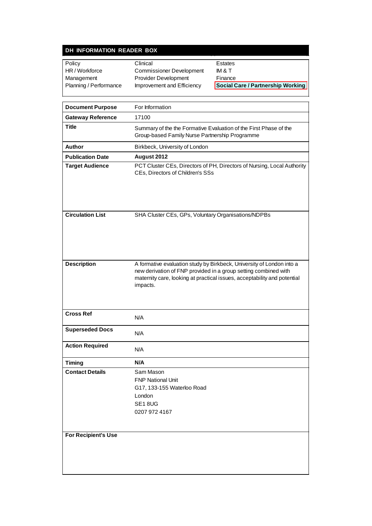## **DH INFORMATION READER BOX**

| Policy                 | Clinical                        | Estates                           |
|------------------------|---------------------------------|-----------------------------------|
| HR/Workforce           | <b>Commissioner Development</b> | IM & T                            |
| Management             | <b>Provider Development</b>     | Finance                           |
| Planning / Performance | Improvement and Efficiency      | Social Care / Partnership Working |
|                        |                                 |                                   |

| <b>Document Purpose</b>  | For Information                                                                                                                                                                                                                  |  |  |
|--------------------------|----------------------------------------------------------------------------------------------------------------------------------------------------------------------------------------------------------------------------------|--|--|
| <b>Gateway Reference</b> | 17100                                                                                                                                                                                                                            |  |  |
| <b>Title</b>             | Summary of the the Formative Evaluation of the First Phase of the<br>Group-based Family Nurse Partnership Programme                                                                                                              |  |  |
| Author                   | Birkbeck, University of London                                                                                                                                                                                                   |  |  |
| <b>Publication Date</b>  | August 2012                                                                                                                                                                                                                      |  |  |
| <b>Target Audience</b>   | PCT Cluster CEs, Directors of PH, Directors of Nursing, Local Authority<br>CEs, Directors of Children's SSs                                                                                                                      |  |  |
| <b>Circulation List</b>  | SHA Cluster CEs, GPs, Voluntary Organisations/NDPBs                                                                                                                                                                              |  |  |
| <b>Description</b>       | A formative evaluation study by Birkbeck, University of London into a<br>new derivation of FNP provided in a group setting combined with<br>maternity care, looking at practical issues, acceptability and potential<br>impacts. |  |  |
| <b>Cross Ref</b>         | N/A                                                                                                                                                                                                                              |  |  |
| <b>Superseded Docs</b>   | N/A                                                                                                                                                                                                                              |  |  |
| <b>Action Required</b>   | N/A                                                                                                                                                                                                                              |  |  |
| <b>Timing</b>            | N/A                                                                                                                                                                                                                              |  |  |
| <b>Contact Details</b>   | Sam Mason<br><b>FNP National Unit</b><br>G17, 133-155 Waterloo Road<br>London<br>SE18UG<br>0207 972 4167                                                                                                                         |  |  |
| For Recipient's Use      |                                                                                                                                                                                                                                  |  |  |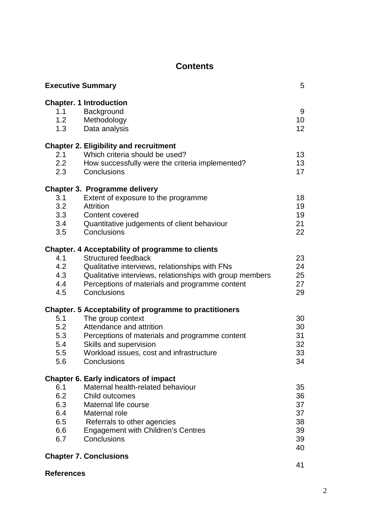# **Contents**

|            | <b>Executive Summary</b>                                                                                   | 5               |
|------------|------------------------------------------------------------------------------------------------------------|-----------------|
| 1.1        | <b>Chapter. 1 Introduction</b><br>Background                                                               | 9               |
| 1.2        | Methodology                                                                                                | 10              |
| 1.3        | Data analysis                                                                                              | 12 <sup>2</sup> |
|            | <b>Chapter 2. Eligibility and recruitment</b>                                                              |                 |
| 2.1        | Which criteria should be used?                                                                             | 13              |
| 2.2<br>2.3 | How successfully were the criteria implemented?<br>Conclusions                                             | 13<br>17        |
|            | <b>Chapter 3. Programme delivery</b>                                                                       |                 |
| 3.1        | Extent of exposure to the programme                                                                        | 18              |
| 3.2        | <b>Attrition</b>                                                                                           | 19              |
| 3.3        | Content covered                                                                                            | 19              |
| 3.4<br>3.5 | Quantitative judgements of client behaviour<br>Conclusions                                                 | 21<br>22        |
|            |                                                                                                            |                 |
|            | <b>Chapter. 4 Acceptability of programme to clients</b>                                                    |                 |
| 4.1        | <b>Structured feedback</b>                                                                                 | 23              |
| 4.2<br>4.3 | Qualitative interviews, relationships with FNs<br>Qualitative interviews, relationships with group members | 24<br>25        |
| 4.4        | Perceptions of materials and programme content                                                             | 27              |
| 4.5        | Conclusions                                                                                                | 29              |
|            | <b>Chapter. 5 Acceptability of programme to practitioners</b>                                              |                 |
| 5.1        | The group context                                                                                          | 30              |
| 5.2        | Attendance and attrition                                                                                   | 30              |
| 5.3        | Perceptions of materials and programme content                                                             | 31              |
| 5.4        | Skills and supervision                                                                                     | 32              |
| 5.5        | Workload issues, cost and infrastructure                                                                   | 33              |
| 5.6        | Conclusions                                                                                                | 34              |
|            | <b>Chapter 6. Early indicators of impact</b>                                                               |                 |
| 6.1        | Maternal health-related behaviour                                                                          | 35              |
| 6.2        | Child outcomes                                                                                             | 36              |
| 6.3        | Maternal life course                                                                                       | 37              |
| 6.4        | Maternal role                                                                                              | 37              |
| 6.5<br>6.6 | Referrals to other agencies                                                                                | 38<br>39        |
| 6.7        | <b>Engagement with Children's Centres</b><br>Conclusions                                                   | 39              |
|            |                                                                                                            | 40              |
|            | <b>Chapter 7. Conclusions</b>                                                                              |                 |
|            |                                                                                                            | 41              |

**References**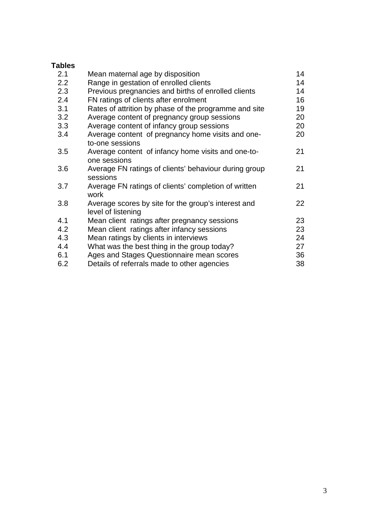# **Tables**

| 2.1           | Mean maternal age by disposition                                          | 14 |
|---------------|---------------------------------------------------------------------------|----|
| $2.2^{\circ}$ | Range in gestation of enrolled clients                                    | 14 |
| 2.3           | Previous pregnancies and births of enrolled clients                       | 14 |
| 2.4           | FN ratings of clients after enrolment                                     | 16 |
| 3.1           | Rates of attrition by phase of the programme and site                     | 19 |
| 3.2           | Average content of pregnancy group sessions                               | 20 |
| 3.3           | Average content of infancy group sessions                                 | 20 |
| 3.4           | Average content of pregnancy home visits and one-<br>to-one sessions      | 20 |
| 3.5           | Average content of infancy home visits and one-to-<br>one sessions        | 21 |
| 3.6           | Average FN ratings of clients' behaviour during group<br>sessions         | 21 |
| 3.7           | Average FN ratings of clients' completion of written<br>work              | 21 |
| 3.8           | Average scores by site for the group's interest and<br>level of listening | 22 |
| 4.1           | Mean client ratings after pregnancy sessions                              | 23 |
| 4.2           | Mean client ratings after infancy sessions                                | 23 |
| 4.3           | Mean ratings by clients in interviews                                     | 24 |
| 4.4           | What was the best thing in the group today?                               | 27 |
| 6.1           | Ages and Stages Questionnaire mean scores                                 | 36 |
| 6.2           | Details of referrals made to other agencies                               | 38 |
|               |                                                                           |    |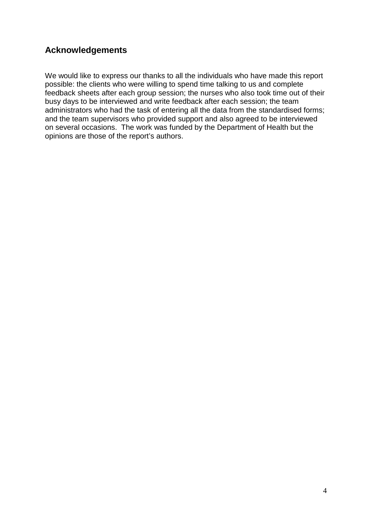# **Acknowledgements**

We would like to express our thanks to all the individuals who have made this report possible: the clients who were willing to spend time talking to us and complete feedback sheets after each group session; the nurses who also took time out of their busy days to be interviewed and write feedback after each session; the team administrators who had the task of entering all the data from the standardised forms; and the team supervisors who provided support and also agreed to be interviewed on several occasions. The work was funded by the Department of Health but the opinions are those of the report's authors.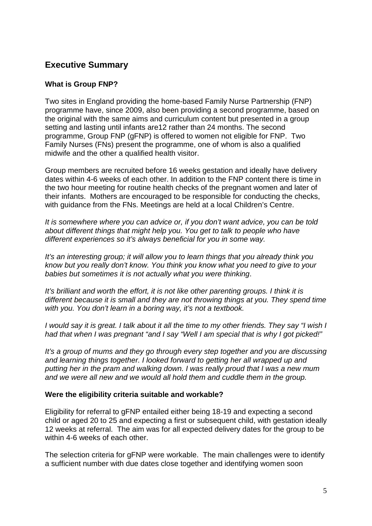# **Executive Summary**

## **What is Group FNP?**

Two sites in England providing the home-based Family Nurse Partnership (FNP) programme have, since 2009, also been providing a second programme, based on the original with the same aims and curriculum content but presented in a group setting and lasting until infants are12 rather than 24 months. The second programme, Group FNP (gFNP) is offered to women not eligible for FNP. Two Family Nurses (FNs) present the programme, one of whom is also a qualified midwife and the other a qualified health visitor.

Group members are recruited before 16 weeks gestation and ideally have delivery dates within 4-6 weeks of each other. In addition to the FNP content there is time in the two hour meeting for routine health checks of the pregnant women and later of their infants. Mothers are encouraged to be responsible for conducting the checks, with guidance from the FNs. Meetings are held at a local Children's Centre.

*It is somewhere where you can advice or, if you don't want advice, you can be told about different things that might help you. You get to talk to people who have different experiences so it's always beneficial for you in some way.*

*It's an interesting group; it will allow you to learn things that you already think you know but you really don't know. You think you know what you need to give to your babies but sometimes it is not actually what you were thinking*.

*It's brilliant and worth the effort, it is not like other parenting groups. I think it is different because it is small and they are not throwing things at you. They spend time with you. You don't learn in a boring way, it's not a textbook.* 

*I would say it is great. I talk about it all the time to my other friends. They say "I wish I had that when I was pregnant "and I say "Well I am special that is why I got picked!"*

*It's a group of mums and they go through every step together and you are discussing and learning things together. I looked forward to getting her all wrapped up and putting her in the pram and walking down. I was really proud that I was a new mum and we were all new and we would all hold them and cuddle them in the group.*

#### **Were the eligibility criteria suitable and workable?**

Eligibility for referral to gFNP entailed either being 18-19 and expecting a second child or aged 20 to 25 and expecting a first or subsequent child, with gestation ideally 12 weeks at referral. The aim was for all expected delivery dates for the group to be within 4-6 weeks of each other.

The selection criteria for gFNP were workable. The main challenges were to identify a sufficient number with due dates close together and identifying women soon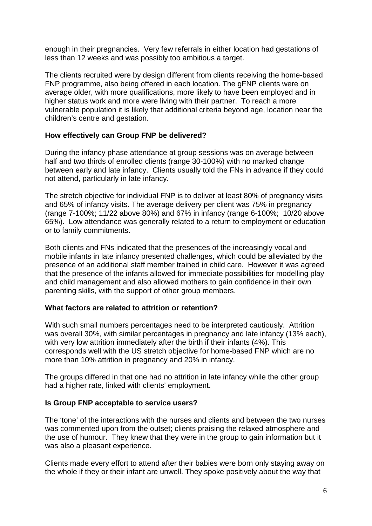enough in their pregnancies. Very few referrals in either location had gestations of less than 12 weeks and was possibly too ambitious a target.

The clients recruited were by design different from clients receiving the home-based FNP programme, also being offered in each location. The gFNP clients were on average older, with more qualifications, more likely to have been employed and in higher status work and more were living with their partner. To reach a more vulnerable population it is likely that additional criteria beyond age, location near the children's centre and gestation.

## **How effectively can Group FNP be delivered?**

During the infancy phase attendance at group sessions was on average between half and two thirds of enrolled clients (range 30-100%) with no marked change between early and late infancy. Clients usually told the FNs in advance if they could not attend, particularly in late infancy.

The stretch objective for individual FNP is to deliver at least 80% of pregnancy visits and 65% of infancy visits. The average delivery per client was 75% in pregnancy (range 7-100%; 11/22 above 80%) and 67% in infancy (range 6-100%; 10/20 above 65%). Low attendance was generally related to a return to employment or education or to family commitments.

Both clients and FNs indicated that the presences of the increasingly vocal and mobile infants in late infancy presented challenges, which could be alleviated by the presence of an additional staff member trained in child care. However it was agreed that the presence of the infants allowed for immediate possibilities for modelling play and child management and also allowed mothers to gain confidence in their own parenting skills, with the support of other group members.

#### **What factors are related to attrition or retention?**

With such small numbers percentages need to be interpreted cautiously. Attrition was overall 30%, with similar percentages in pregnancy and late infancy (13% each), with very low attrition immediately after the birth if their infants (4%). This corresponds well with the US stretch objective for home-based FNP which are no more than 10% attrition in pregnancy and 20% in infancy.

The groups differed in that one had no attrition in late infancy while the other group had a higher rate, linked with clients' employment.

#### **Is Group FNP acceptable to service users?**

The 'tone' of the interactions with the nurses and clients and between the two nurses was commented upon from the outset; clients praising the relaxed atmosphere and the use of humour. They knew that they were in the group to gain information but it was also a pleasant experience.

Clients made every effort to attend after their babies were born only staying away on the whole if they or their infant are unwell. They spoke positively about the way that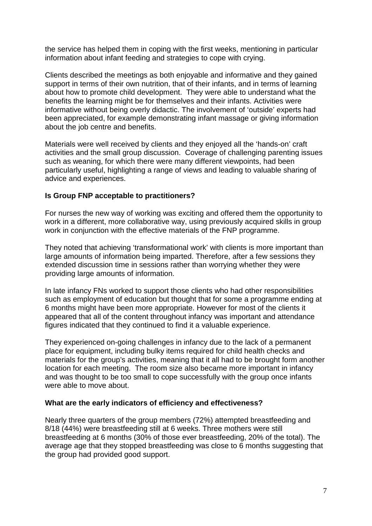the service has helped them in coping with the first weeks, mentioning in particular information about infant feeding and strategies to cope with crying.

Clients described the meetings as both enjoyable and informative and they gained support in terms of their own nutrition, that of their infants, and in terms of learning about how to promote child development. They were able to understand what the benefits the learning might be for themselves and their infants. Activities were informative without being overly didactic. The involvement of 'outside' experts had been appreciated, for example demonstrating infant massage or giving information about the job centre and benefits.

Materials were well received by clients and they enjoyed all the 'hands-on' craft activities and the small group discussion. Coverage of challenging parenting issues such as weaning, for which there were many different viewpoints, had been particularly useful, highlighting a range of views and leading to valuable sharing of advice and experiences.

## **Is Group FNP acceptable to practitioners?**

For nurses the new way of working was exciting and offered them the opportunity to work in a different, more collaborative way, using previously acquired skills in group work in conjunction with the effective materials of the FNP programme.

They noted that achieving 'transformational work' with clients is more important than large amounts of information being imparted. Therefore, after a few sessions they extended discussion time in sessions rather than worrying whether they were providing large amounts of information.

In late infancy FNs worked to support those clients who had other responsibilities such as employment of education but thought that for some a programme ending at 6 months might have been more appropriate. However for most of the clients it appeared that all of the content throughout infancy was important and attendance figures indicated that they continued to find it a valuable experience.

They experienced on-going challenges in infancy due to the lack of a permanent place for equipment, including bulky items required for child health checks and materials for the group's activities, meaning that it all had to be brought form another location for each meeting. The room size also became more important in infancy and was thought to be too small to cope successfully with the group once infants were able to move about.

#### **What are the early indicators of efficiency and effectiveness?**

Nearly three quarters of the group members (72%) attempted breastfeeding and 8/18 (44%) were breastfeeding still at 6 weeks. Three mothers were still breastfeeding at 6 months (30% of those ever breastfeeding, 20% of the total). The average age that they stopped breastfeeding was close to 6 months suggesting that the group had provided good support.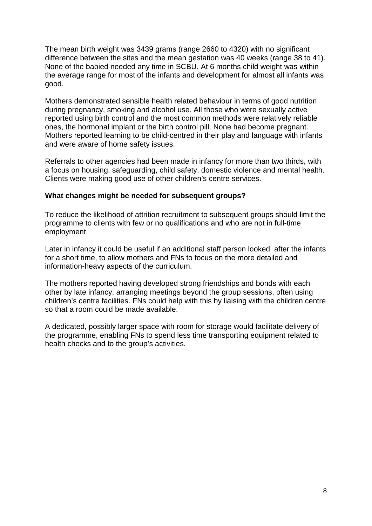The mean birth weight was 3439 grams (range 2660 to 4320) with no significant difference between the sites and the mean gestation was 40 weeks (range 38 to 41). None of the babied needed any time in SCBU. At 6 months child weight was within the average range for most of the infants and development for almost all infants was good.

Mothers demonstrated sensible health related behaviour in terms of good nutrition during pregnancy, smoking and alcohol use. All those who were sexually active reported using birth control and the most common methods were relatively reliable ones, the hormonal implant or the birth control pill. None had become pregnant. Mothers reported learning to be child-centred in their play and language with infants and were aware of home safety issues.

Referrals to other agencies had been made in infancy for more than two thirds, with a focus on housing, safeguarding, child safety, domestic violence and mental health. Clients were making good use of other children's centre services.

#### **What changes might be needed for subsequent groups?**

To reduce the likelihood of attrition recruitment to subsequent groups should limit the programme to clients with few or no qualifications and who are not in full-time employment.

Later in infancy it could be useful if an additional staff person looked after the infants for a short time, to allow mothers and FNs to focus on the more detailed and information-heavy aspects of the curriculum.

The mothers reported having developed strong friendships and bonds with each other by late infancy, arranging meetings beyond the group sessions, often using children's centre facilities. FNs could help with this by liaising with the children centre so that a room could be made available.

A dedicated, possibly larger space with room for storage would facilitate delivery of the programme, enabling FNs to spend less time transporting equipment related to health checks and to the group's activities.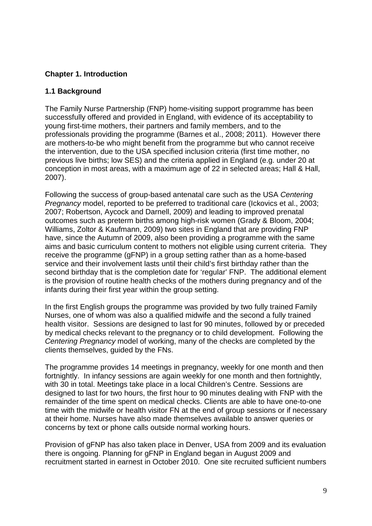## **Chapter 1. Introduction**

## **1.1 Background**

The Family Nurse Partnership (FNP) home-visiting support programme has been successfully offered and provided in England, with evidence of its acceptability to young first-time mothers, their partners and family members, and to the professionals providing the programme (Barnes et al., 2008; 2011). However there are mothers-to-be who might benefit from the programme but who cannot receive the intervention, due to the USA specified inclusion criteria (first time mother, no previous live births; low SES) and the criteria applied in England (e.g. under 20 at conception in most areas, with a maximum age of 22 in selected areas; Hall & Hall, 2007).

Following the success of group-based antenatal care such as the USA *Centering Pregnancy* model, reported to be preferred to traditional care (Ickovics et al., 2003; 2007; Robertson, Aycock and Darnell, 2009) and leading to improved prenatal outcomes such as preterm births among high-risk women (Grady & Bloom, 2004; Williams, Zoltor & Kaufmann, 2009) two sites in England that are providing FNP have, since the Autumn of 2009, also been providing a programme with the same aims and basic curriculum content to mothers not eligible using current criteria. They receive the programme (gFNP) in a group setting rather than as a home-based service and their involvement lasts until their child's first birthday rather than the second birthday that is the completion date for 'regular' FNP. The additional element is the provision of routine health checks of the mothers during pregnancy and of the infants during their first year within the group setting.

In the first English groups the programme was provided by two fully trained Family Nurses, one of whom was also a qualified midwife and the second a fully trained health visitor. Sessions are designed to last for 90 minutes, followed by or preceded by medical checks relevant to the pregnancy or to child development. Following the *Centering Pregnancy* model of working, many of the checks are completed by the clients themselves, guided by the FNs.

The programme provides 14 meetings in pregnancy, weekly for one month and then fortnightly. In infancy sessions are again weekly for one month and then fortnightly, with 30 in total. Meetings take place in a local Children's Centre. Sessions are designed to last for two hours, the first hour to 90 minutes dealing with FNP with the remainder of the time spent on medical checks. Clients are able to have one-to-one time with the midwife or health visitor FN at the end of group sessions or if necessary at their home. Nurses have also made themselves available to answer queries or concerns by text or phone calls outside normal working hours.

Provision of gFNP has also taken place in Denver, USA from 2009 and its evaluation there is ongoing. Planning for gFNP in England began in August 2009 and recruitment started in earnest in October 2010. One site recruited sufficient numbers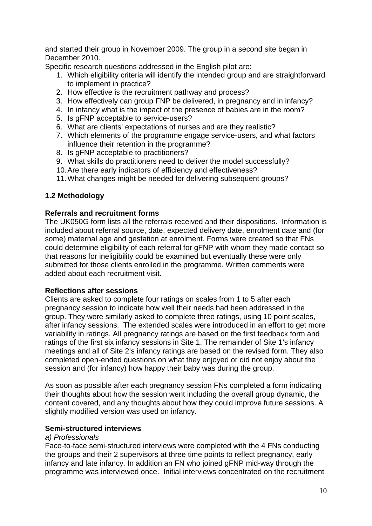and started their group in November 2009. The group in a second site began in December 2010.

Specific research questions addressed in the English pilot are:

- 1. Which eligibility criteria will identify the intended group and are straightforward to implement in practice?
- 2. How effective is the recruitment pathway and process?
- 3. How effectively can group FNP be delivered, in pregnancy and in infancy?
- 4. In infancy what is the impact of the presence of babies are in the room?
- 5. Is gFNP acceptable to service-users?
- 6. What are clients' expectations of nurses and are they realistic?
- 7. Which elements of the programme engage service-users, and what factors influence their retention in the programme?
- 8. Is gFNP acceptable to practitioners?
- 9. What skills do practitioners need to deliver the model successfully?
- 10.Are there early indicators of efficiency and effectiveness?
- 11.What changes might be needed for delivering subsequent groups?

## **1.2 Methodology**

#### **Referrals and recruitment forms**

The UK050G form lists all the referrals received and their dispositions. Information is included about referral source, date, expected delivery date, enrolment date and (for some) maternal age and gestation at enrolment. Forms were created so that FNs could determine eligibility of each referral for gFNP with whom they made contact so that reasons for ineligibility could be examined but eventually these were only submitted for those clients enrolled in the programme. Written comments were added about each recruitment visit.

#### **Reflections after sessions**

Clients are asked to complete four ratings on scales from 1 to 5 after each pregnancy session to indicate how well their needs had been addressed in the group. They were similarly asked to complete three ratings, using 10 point scales, after infancy sessions. The extended scales were introduced in an effort to get more variability in ratings. All pregnancy ratings are based on the first feedback form and ratings of the first six infancy sessions in Site 1. The remainder of Site 1's infancy meetings and all of Site 2's infancy ratings are based on the revised form. They also completed open-ended questions on what they enjoyed or did not enjoy about the session and (for infancy) how happy their baby was during the group.

As soon as possible after each pregnancy session FNs completed a form indicating their thoughts about how the session went including the overall group dynamic, the content covered, and any thoughts about how they could improve future sessions. A slightly modified version was used on infancy.

#### **Semi-structured interviews**

#### *a) Professionals*

Face-to-face semi-structured interviews were completed with the 4 FNs conducting the groups and their 2 supervisors at three time points to reflect pregnancy, early infancy and late infancy. In addition an FN who joined gFNP mid-way through the programme was interviewed once. Initial interviews concentrated on the recruitment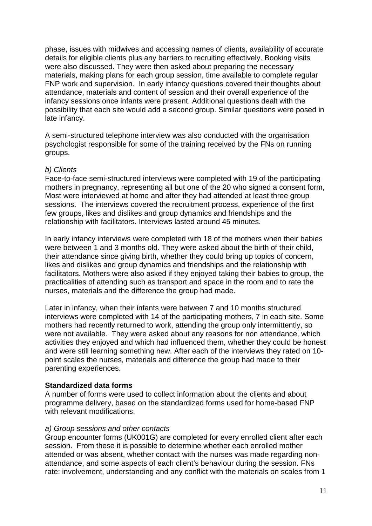phase, issues with midwives and accessing names of clients, availability of accurate details for eligible clients plus any barriers to recruiting effectively. Booking visits were also discussed. They were then asked about preparing the necessary materials, making plans for each group session, time available to complete regular FNP work and supervision. In early infancy questions covered their thoughts about attendance, materials and content of session and their overall experience of the infancy sessions once infants were present. Additional questions dealt with the possibility that each site would add a second group. Similar questions were posed in late infancy.

A semi-structured telephone interview was also conducted with the organisation psychologist responsible for some of the training received by the FNs on running groups.

#### *b) Clients*

Face-to-face semi-structured interviews were completed with 19 of the participating mothers in pregnancy, representing all but one of the 20 who signed a consent form, Most were interviewed at home and after they had attended at least three group sessions. The interviews covered the recruitment process, experience of the first few groups, likes and dislikes and group dynamics and friendships and the relationship with facilitators. Interviews lasted around 45 minutes.

In early infancy interviews were completed with 18 of the mothers when their babies were between 1 and 3 months old. They were asked about the birth of their child, their attendance since giving birth, whether they could bring up topics of concern, likes and dislikes and group dynamics and friendships and the relationship with facilitators. Mothers were also asked if they enjoyed taking their babies to group, the practicalities of attending such as transport and space in the room and to rate the nurses, materials and the difference the group had made.

Later in infancy, when their infants were between 7 and 10 months structured interviews were completed with 14 of the participating mothers, 7 in each site. Some mothers had recently returned to work, attending the group only intermittently, so were not available. They were asked about any reasons for non attendance, which activities they enjoyed and which had influenced them, whether they could be honest and were still learning something new. After each of the interviews they rated on 10 point scales the nurses, materials and difference the group had made to their parenting experiences.

#### **Standardized data forms**

A number of forms were used to collect information about the clients and about programme delivery, based on the standardized forms used for home-based FNP with relevant modifications.

#### *a) Group sessions and other contacts*

Group encounter forms (UK001G) are completed for every enrolled client after each session. From these it is possible to determine whether each enrolled mother attended or was absent, whether contact with the nurses was made regarding nonattendance, and some aspects of each client's behaviour during the session. FNs rate: involvement, understanding and any conflict with the materials on scales from 1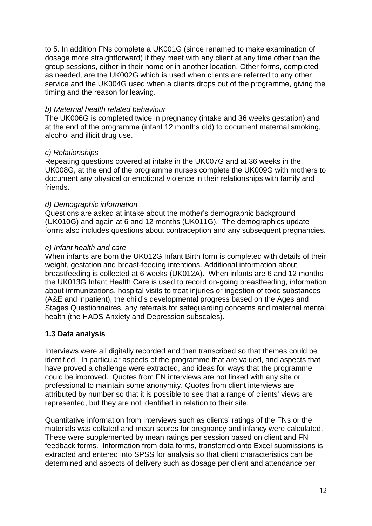to 5. In addition FNs complete a UK001G (since renamed to make examination of dosage more straightforward) if they meet with any client at any time other than the group sessions, either in their home or in another location. Other forms, completed as needed, are the UK002G which is used when clients are referred to any other service and the UK004G used when a clients drops out of the programme, giving the timing and the reason for leaving.

#### *b) Maternal health related behaviour*

The UK006G is completed twice in pregnancy (intake and 36 weeks gestation) and at the end of the programme (infant 12 months old) to document maternal smoking, alcohol and illicit drug use.

#### *c) Relationships*

Repeating questions covered at intake in the UK007G and at 36 weeks in the UK008G, at the end of the programme nurses complete the UK009G with mothers to document any physical or emotional violence in their relationships with family and friends.

#### *d) Demographic information*

Questions are asked at intake about the mother's demographic background (UK010G) and again at 6 and 12 months (UK011G). The demographics update forms also includes questions about contraception and any subsequent pregnancies.

#### *e) Infant health and care*

When infants are born the UK012G Infant Birth form is completed with details of their weight, gestation and breast-feeding intentions. Additional information about breastfeeding is collected at 6 weeks (UK012A). When infants are 6 and 12 months the UK013G Infant Health Care is used to record on-going breastfeeding, information about immunizations, hospital visits to treat injuries or ingestion of toxic substances (A&E and inpatient), the child's developmental progress based on the Ages and Stages Questionnaires, any referrals for safeguarding concerns and maternal mental health (the HADS Anxiety and Depression subscales).

#### **1.3 Data analysis**

Interviews were all digitally recorded and then transcribed so that themes could be identified. In particular aspects of the programme that are valued, and aspects that have proved a challenge were extracted, and ideas for ways that the programme could be improved. Quotes from FN interviews are not linked with any site or professional to maintain some anonymity. Quotes from client interviews are attributed by number so that it is possible to see that a range of clients' views are represented, but they are not identified in relation to their site.

Quantitative information from interviews such as clients' ratings of the FNs or the materials was collated and mean scores for pregnancy and infancy were calculated. These were supplemented by mean ratings per session based on client and FN feedback forms. Information from data forms, transferred onto Excel submissions is extracted and entered into SPSS for analysis so that client characteristics can be determined and aspects of delivery such as dosage per client and attendance per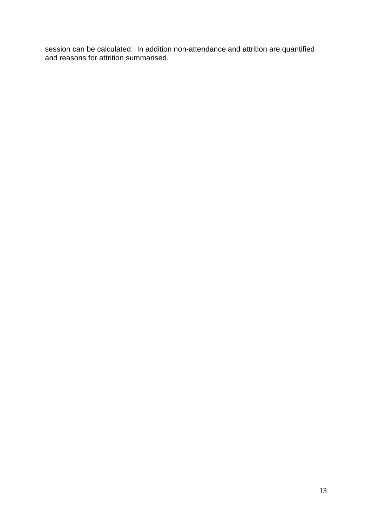session can be calculated. In addition non-attendance and attrition are quantified and reasons for attrition summarised.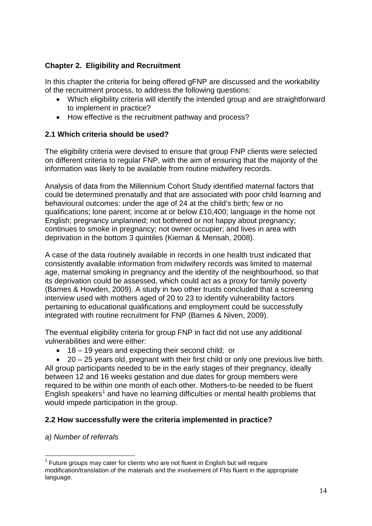## **Chapter 2. Eligibility and Recruitment**

In this chapter the criteria for being offered gFNP are discussed and the workability of the recruitment process, to address the following questions:

- Which eligibility criteria will identify the intended group and are straightforward to implement in practice?
- How effective is the recruitment pathway and process?

## **2.1 Which criteria should be used?**

The eligibility criteria were devised to ensure that group FNP clients were selected on different criteria to regular FNP, with the aim of ensuring that the majority of the information was likely to be available from routine midwifery records.

Analysis of data from the Millennium Cohort Study identified maternal factors that could be determined prenatally and that are associated with poor child learning and behavioural outcomes: under the age of 24 at the child's birth; few or no qualifications; lone parent; income at or below £10,400; language in the home not English; pregnancy unplanned; not bothered or not happy about pregnancy; continues to smoke in pregnancy; not owner occupier; and lives in area with deprivation in the bottom 3 quintiles (Kiernan & Mensah, 2008).

A case of the data routinely available in records in one health trust indicated that consistently available information from midwifery records was limited to maternal age, maternal smoking in pregnancy and the identity of the neighbourhood, so that its deprivation could be assessed, which could act as a proxy for family poverty (Barnes & Howden, 2009). A study in two other trusts concluded that a screening interview used with mothers aged of 20 to 23 to identify vulnerability factors pertaining to educational qualifications and employment could be successfully integrated with routine recruitment for FNP (Barnes & Niven, 2009).

The eventual eligibility criteria for group FNP in fact did not use any additional vulnerabilities and were either:

• 18 – 19 years and expecting their second child; or

• 20 – 25 years old, pregnant with their first child or only one previous live birth. All group participants needed to be in the early stages of their pregnancy, ideally between 12 and 16 weeks gestation and due dates for group members were required to be within one month of each other. Mothers-to-be needed to be fluent English speakers<sup>[1](#page-0-0)</sup> and have no learning difficulties or mental health problems that would impede participation in the group.

## **2.2 How successfully were the criteria implemented in practice?**

*a) Number of referrals*

 $<sup>1</sup>$  Future groups may cater for clients who are not fluent in English but will require</sup> modification/translation of the materials and the involvement of FNs fluent in the appropriate language.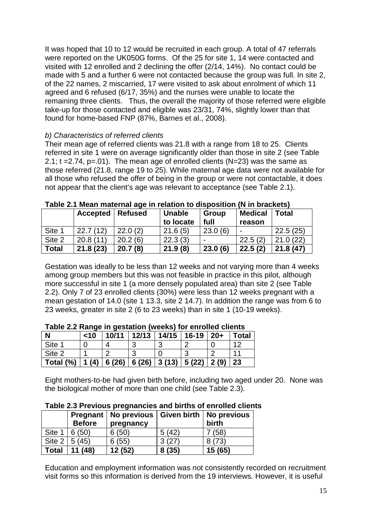It was hoped that 10 to 12 would be recruited in each group. A total of 47 referrals were reported on the UK050G forms. Of the 25 for site 1, 14 were contacted and visited with 12 enrolled and 2 declining the offer (2/14, 14%). No contact could be made with 5 and a further 6 were not contacted because the group was full. In site 2, of the 22 names, 2 miscarried, 17 were visited to ask about enrolment of which 11 agreed and 6 refused (6/17, 35%) and the nurses were unable to locate the remaining three clients. Thus, the overall the majority of those referred were eligible take-up for those contacted and eligible was 23/31, 74%, slightly lower than that found for home-based FNP (87%, Barnes et al., 2008).

## *b) Characteristics of referred clients*

Their mean age of referred clients was 21.8 with a range from 18 to 25. Clients referred in site 1 were on average significantly older than those in site 2 (see Table 2.1;  $t = 2.74$ ,  $p = .01$ ). The mean age of enrolled clients (N=23) was the same as those referred (21.8, range 19 to 25). While maternal age data were not available for all those who refused the offer of being in the group or were not contactable, it does not appear that the client's age was relevant to acceptance (see Table 2.1).

|        | <b>Accepted</b> | <b>Refused</b> | <b>Unable</b> | <b>Group</b> | <b>Medical</b>           | <b>Total</b> |  |  |
|--------|-----------------|----------------|---------------|--------------|--------------------------|--------------|--|--|
|        |                 |                | to locate     | full         | reason                   |              |  |  |
| Site 1 | 22.7(12)        | 22.0(2)        | 21.6(5)       | 23.0(6)      | $\overline{\phantom{0}}$ | 22.5(25)     |  |  |
| Site 2 | 20.8(11)        | 20.2(6)        | 22.3(3)       |              | 22.5(2)                  | 21.0(22)     |  |  |
| Total  | 21.8(23)        | 20.7(8)        | 21.9(8)       | 23.0(6)      | 22.5(2)                  | 21.8(47)     |  |  |

**Table 2.1 Mean maternal age in relation to disposition (N in brackets)**

Gestation was ideally to be less than 12 weeks and not varying more than 4 weeks among group members but this was not feasible in practice in this pilot, although more successful in site 1 (a more densely populated area) than site 2 (see Table 2.2). Only 7 of 23 enrolled clients (30%) were less than 12 weeks pregnant with a mean gestation of 14.0 (site 1 13.3, site 2 14.7). In addition the range was from 6 to 23 weeks, greater in site 2 (6 to 23 weeks) than in site 1 (10-19 weeks).

| TANIV LIL I MINU III YUJUUNI (MUUNJ) IVI UIII VIIU VIIUINJ |        |       |               |       |         |       |       |  |
|------------------------------------------------------------|--------|-------|---------------|-------|---------|-------|-------|--|
| N                                                          | $<$ 10 | 10/11 | 12/13         | 14/15 | $16-19$ | $20+$ | Total |  |
| Site 1                                                     |        |       |               |       |         |       | ィク    |  |
| Site 2                                                     |        |       | ാ             |       |         |       |       |  |
| Total (%)                                                  | 1(4)   |       | $6(26)$ 6(26) | 3(13) | 5(22)   | 2(9)  | 23    |  |

| Table 2.2 Range in gestation (weeks) for enrolled clients |  |
|-----------------------------------------------------------|--|
|-----------------------------------------------------------|--|

Eight mothers-to-be had given birth before, including two aged under 20. None was the biological mother of more than one child (see Table 2.3).

|              | <b>Before</b>       | Pregnant   No previous   Given birth   No previous<br>pregnancy |       | birth  |
|--------------|---------------------|-----------------------------------------------------------------|-------|--------|
| Site 1       | 6(50)               | 6(50)                                                           | 5(42) | 7(58)  |
|              | Site $2 \mid 5(45)$ | 6(55)                                                           | 3(27) | 8(73)  |
| <b>Total</b> | 11(48)              | 12(52)                                                          | 8(35) | 15(65) |

**Table 2.3 Previous pregnancies and births of enrolled clients**

Education and employment information was not consistently recorded on recruitment visit forms so this information is derived from the 19 interviews. However, it is useful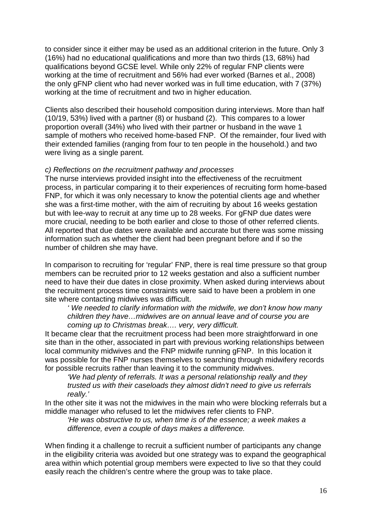to consider since it either may be used as an additional criterion in the future. Only 3 (16%) had no educational qualifications and more than two thirds (13, 68%) had qualifications beyond GCSE level. While only 22% of regular FNP clients were working at the time of recruitment and 56% had ever worked (Barnes et al., 2008) the only gFNP client who had never worked was in full time education, with 7 (37%) working at the time of recruitment and two in higher education.

Clients also described their household composition during interviews. More than half (10/19, 53%) lived with a partner (8) or husband (2). This compares to a lower proportion overall (34%) who lived with their partner or husband in the wave 1 sample of mothers who received home-based FNP. Of the remainder, four lived with their extended families (ranging from four to ten people in the household.) and two were living as a single parent.

#### *c) Reflections on the recruitment pathway and processes*

The nurse interviews provided insight into the effectiveness of the recruitment process, in particular comparing it to their experiences of recruiting form home-based FNP, for which it was only necessary to know the potential clients age and whether she was a first-time mother, with the aim of recruiting by about 16 weeks gestation but with lee-way to recruit at any time up to 28 weeks. For gFNP due dates were more crucial, needing to be both earlier and close to those of other referred clients. All reported that due dates were available and accurate but there was some missing information such as whether the client had been pregnant before and if so the number of children she may have.

In comparison to recruiting for 'regular' FNP, there is real time pressure so that group members can be recruited prior to 12 weeks gestation and also a sufficient number need to have their due dates in close proximity. When asked during interviews about the recruitment process time constraints were said to have been a problem in one site where contacting midwives was difficult.

*' We needed to clarify information with the midwife, we don't know how many children they have…midwives are on annual leave and of course you are coming up to Christmas break…. very, very difficult.*

It became clear that the recruitment process had been more straightforward in one site than in the other, associated in part with previous working relationships between local community midwives and the FNP midwife running gFNP. In this location it was possible for the FNP nurses themselves to searching through midwifery records for possible recruits rather than leaving it to the community midwives.

*'We had plenty of referrals. It was a personal relationship really and they trusted us with their caseloads they almost didn't need to give us referrals really.'*

In the other site it was not the midwives in the main who were blocking referrals but a middle manager who refused to let the midwives refer clients to FNP.

*'He was obstructive to us, when time is of the essence; a week makes a difference, even a couple of days makes a difference.*

When finding it a challenge to recruit a sufficient number of participants any change in the eligibility criteria was avoided but one strategy was to expand the geographical area within which potential group members were expected to live so that they could easily reach the children's centre where the group was to take place.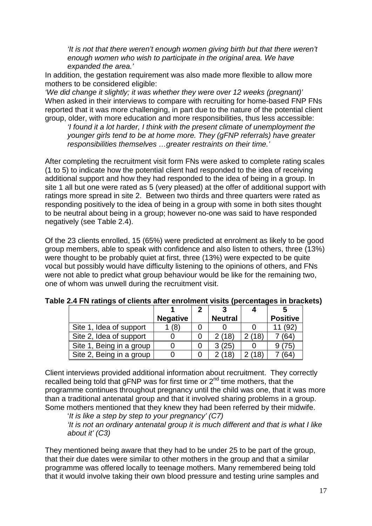*'It is not that there weren't enough women giving birth but that there weren't enough women who wish to participate in the original area. We have expanded the area.'*

In addition, the gestation requirement was also made more flexible to allow more mothers to be considered eligible:

*'We did change it slightly; it was whether they were over 12 weeks (pregnant)'* When asked in their interviews to compare with recruiting for home-based FNP FNs reported that it was more challenging, in part due to the nature of the potential client group, older, with more education and more responsibilities, thus less accessible:

*'I found it a lot harder, I think with the present climate of unemployment the younger girls tend to be at home more. They (gFNP referrals) have greater responsibilities themselves …greater restraints on their time.'*

After completing the recruitment visit form FNs were asked to complete rating scales (1 to 5) to indicate how the potential client had responded to the idea of receiving additional support and how they had responded to the idea of being in a group. In site 1 all but one were rated as 5 (very pleased) at the offer of additional support with ratings more spread in site 2. Between two thirds and three quarters were rated as responding positively to the idea of being in a group with some in both sites thought to be neutral about being in a group; however no-one was said to have responded negatively (see Table 2.4).

Of the 23 clients enrolled, 15 (65%) were predicted at enrolment as likely to be good group members, able to speak with confidence and also listen to others, three (13%) were thought to be probably quiet at first, three (13%) were expected to be quite vocal but possibly would have difficulty listening to the opinions of others, and FNs were not able to predict what group behaviour would be like for the remaining two, one of whom was unwell during the recruitment visit.

|                          | <b>Negative</b> | <b>Neutral</b> |                 | <b>Positive</b> |
|--------------------------|-----------------|----------------|-----------------|-----------------|
| Site 1, Idea of support  | (8)             |                |                 | (92)            |
| Site 2, Idea of support  |                 | (18)           | $^{\prime}$ 18) | (64)            |
| Site 1, Being in a group |                 | (25)           |                 | 75              |
| Site 2, Being in a group |                 | (18)           | 18              | (64)            |

#### **Table 2.4 FN ratings of clients after enrolment visits (percentages in brackets)**

Client interviews provided additional information about recruitment. They correctly recalled being told that gFNP was for first time or  $2<sup>nd</sup>$  time mothers, that the programme continues throughout pregnancy until the child was one, that it was more than a traditional antenatal group and that it involved sharing problems in a group. Some mothers mentioned that they knew they had been referred by their midwife.

'*It is like a step by step to your pregnancy' (C7) 'It is not an ordinary antenatal group it is much different and that is what I like about it' (C3)*

They mentioned being aware that they had to be under 25 to be part of the group, that their due dates were similar to other mothers in the group and that a similar programme was offered locally to teenage mothers. Many remembered being told that it would involve taking their own blood pressure and testing urine samples and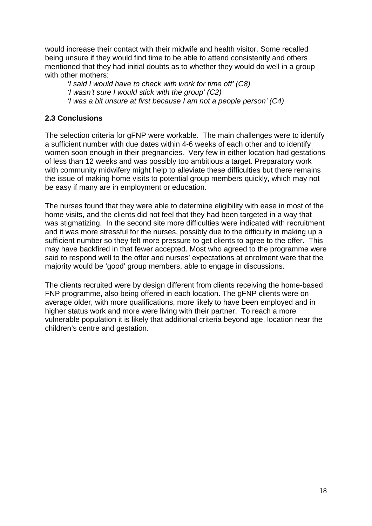would increase their contact with their midwife and health visitor. Some recalled being unsure if they would find time to be able to attend consistently and others mentioned that they had initial doubts as to whether they would do well in a group with other mothers:

*'I said I would have to check with work for time off' (C8) 'I wasn't sure I would stick with the group' (C2) 'I was a bit unsure at first because I am not a people person' (C4)*

## **2.3 Conclusions**

The selection criteria for gFNP were workable. The main challenges were to identify a sufficient number with due dates within 4-6 weeks of each other and to identify women soon enough in their pregnancies. Very few in either location had gestations of less than 12 weeks and was possibly too ambitious a target. Preparatory work with community midwifery might help to alleviate these difficulties but there remains the issue of making home visits to potential group members quickly, which may not be easy if many are in employment or education.

The nurses found that they were able to determine eligibility with ease in most of the home visits, and the clients did not feel that they had been targeted in a way that was stigmatizing. In the second site more difficulties were indicated with recruitment and it was more stressful for the nurses, possibly due to the difficulty in making up a sufficient number so they felt more pressure to get clients to agree to the offer. This may have backfired in that fewer accepted. Most who agreed to the programme were said to respond well to the offer and nurses' expectations at enrolment were that the majority would be 'good' group members, able to engage in discussions.

The clients recruited were by design different from clients receiving the home-based FNP programme, also being offered in each location. The gFNP clients were on average older, with more qualifications, more likely to have been employed and in higher status work and more were living with their partner. To reach a more vulnerable population it is likely that additional criteria beyond age, location near the children's centre and gestation.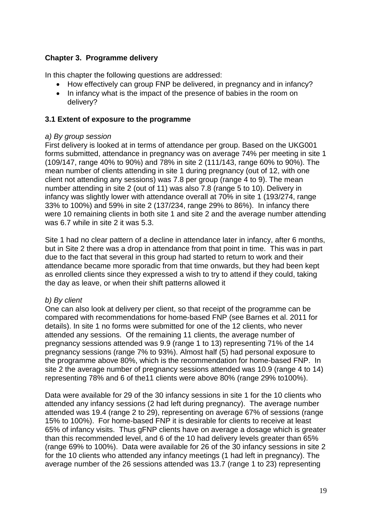## **Chapter 3. Programme delivery**

In this chapter the following questions are addressed:

- How effectively can group FNP be delivered, in pregnancy and in infancy?
- In infancy what is the impact of the presence of babies in the room on delivery?

## **3.1 Extent of exposure to the programme**

#### *a) By group session*

First delivery is looked at in terms of attendance per group. Based on the UKG001 forms submitted, attendance in pregnancy was on average 74% per meeting in site 1 (109/147, range 40% to 90%) and 78% in site 2 (111/143, range 60% to 90%). The mean number of clients attending in site 1 during pregnancy (out of 12, with one client not attending any sessions) was 7.8 per group (range 4 to 9). The mean number attending in site 2 (out of 11) was also 7.8 (range 5 to 10). Delivery in infancy was slightly lower with attendance overall at 70% in site 1 (193/274, range 33% to 100%) and 59% in site 2 (137/234, range 29% to 86%). In infancy there were 10 remaining clients in both site 1 and site 2 and the average number attending was 6.7 while in site 2 it was 5.3.

Site 1 had no clear pattern of a decline in attendance later in infancy, after 6 months, but in Site 2 there was a drop in attendance from that point in time. This was in part due to the fact that several in this group had started to return to work and their attendance became more sporadic from that time onwards, but they had been kept as enrolled clients since they expressed a wish to try to attend if they could, taking the day as leave, or when their shift patterns allowed it

## *b) By client*

One can also look at delivery per client, so that receipt of the programme can be compared with recommendations for home-based FNP (see Barnes et al. 2011 for details). In site 1 no forms were submitted for one of the 12 clients, who never attended any sessions. Of the remaining 11 clients, the average number of pregnancy sessions attended was 9.9 (range 1 to 13) representing 71% of the 14 pregnancy sessions (range 7% to 93%). Almost half (5) had personal exposure to the programme above 80%, which is the recommendation for home-based FNP. In site 2 the average number of pregnancy sessions attended was 10.9 (range 4 to 14) representing 78% and 6 of the11 clients were above 80% (range 29% to100%).

Data were available for 29 of the 30 infancy sessions in site 1 for the 10 clients who attended any infancy sessions (2 had left during pregnancy). The average number attended was 19.4 (range 2 to 29), representing on average 67% of sessions (range 15% to 100%). For home-based FNP it is desirable for clients to receive at least 65% of infancy visits. Thus gFNP clients have on average a dosage which is greater than this recommended level, and 6 of the 10 had delivery levels greater than 65% (range 69% to 100%). Data were available for 26 of the 30 infancy sessions in site 2 for the 10 clients who attended any infancy meetings (1 had left in pregnancy). The average number of the 26 sessions attended was 13.7 (range 1 to 23) representing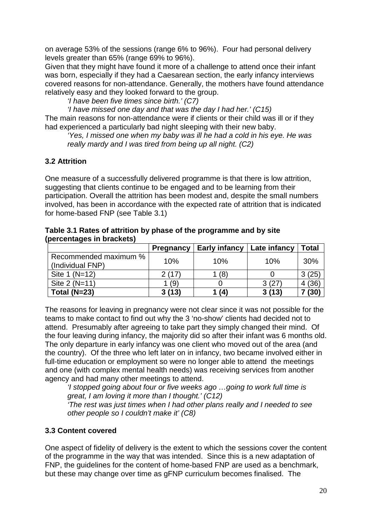on average 53% of the sessions (range 6% to 96%). Four had personal delivery levels greater than 65% (range 69% to 96%).

Given that they might have found it more of a challenge to attend once their infant was born, especially if they had a Caesarean section, the early infancy interviews covered reasons for non-attendance. Generally, the mothers have found attendance relatively easy and they looked forward to the group.

*'I have been five times since birth.' (C7)*

*'I have missed one day and that was the day I had her.' (C15)*

The main reasons for non-attendance were if clients or their child was ill or if they had experienced a particularly bad night sleeping with their new baby.

*'Yes, I missed one when my baby was ill he had a cold in his eye. He was really mardy and I was tired from being up all night. (C2)* 

## **3.2 Attrition**

One measure of a successfully delivered programme is that there is low attrition, suggesting that clients continue to be engaged and to be learning from their participation. Overall the attrition has been modest and, despite the small numbers involved, has been in accordance with the expected rate of attrition that is indicated for home-based FNP (see Table 3.1)

**Table 3.1 Rates of attrition by phase of the programme and by site (percentages in brackets)**

|                                           | <b>Pregnancy</b> | <b>Early infancy</b> | Late infancy | <b>Total</b> |
|-------------------------------------------|------------------|----------------------|--------------|--------------|
| Recommended maximum %<br>(Individual FNP) | 10%              | 10%                  | 10%          | 30%          |
| Site 1 (N=12)                             | 2(17)            | (8)                  |              | 3(25)        |
| Site 2 (N=11)                             | 1 (9)            |                      | 3(27)        | (36)         |
| Total $(N=23)$                            | 3(13)            | (4)                  | 3(13)        | (30)         |

The reasons for leaving in pregnancy were not clear since it was not possible for the teams to make contact to find out why the 3 'no-show' clients had decided not to attend. Presumably after agreeing to take part they simply changed their mind. Of the four leaving during infancy, the majority did so after their infant was 6 months old. The only departure in early infancy was one client who moved out of the area (and the country). Of the three who left later on in infancy, two became involved either in full-time education or employment so were no longer able to attend the meetings and one (with complex mental health needs) was receiving services from another agency and had many other meetings to attend.

*'I stopped going about four or five weeks ago …going to work full time is great, I am loving it more than I thought.' (C12)*

*'The rest was just times when I had other plans really and I needed to see other people so I couldn't make it' (C8)*

## **3.3 Content covered**

One aspect of fidelity of delivery is the extent to which the sessions cover the content of the programme in the way that was intended. Since this is a new adaptation of FNP, the guidelines for the content of home-based FNP are used as a benchmark, but these may change over time as gFNP curriculum becomes finalised. The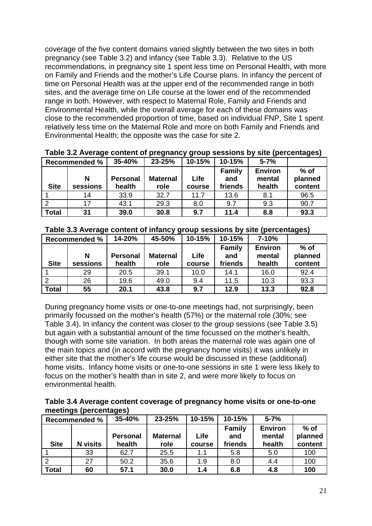coverage of the five content domains varied slightly between the two sites in both pregnancy (see Table 3.2) and infancy (see Table 3.3). Relative to the US recommendations, in pregnancy site 1 spent less time on Personal Health, with more on Family and Friends and the mother's Life Course plans. In infancy the percent of time on Personal Health was at the upper end of the recommended range in both sites, and the average time on Life course at the lower end of the recommended range in both. However, with respect to Maternal Role, Family and Friends and Environmental Health, while the overall average for each of these domains was close to the recommended proportion of time, based on individual FNP, Site 1 spent relatively less time on the Maternal Role and more on both Family and Friends and Environmental Health; the opposite was the case for site 2.

| <b>Recommended %</b> |               | 35-40%                    | 23-25%                  | 10-15%         | 10-15%                          | $5 - 7%$                           | - -                          |
|----------------------|---------------|---------------------------|-------------------------|----------------|---------------------------------|------------------------------------|------------------------------|
| <b>Site</b>          | N<br>sessions | <b>Personal</b><br>health | <b>Maternal</b><br>role | Life<br>course | <b>Family</b><br>and<br>friends | <b>Environ</b><br>mental<br>health | $%$ of<br>planned<br>content |
|                      | 14            | 33.9                      | 32.7                    | 11.7           | 13.6                            | 8.1                                | 96.5                         |
|                      | 17            | 43.1                      | 29.3                    | 8.0            | 9.7                             | 9.3                                | 90.7                         |
| <b>Total</b>         | 31            | 39.0                      | 30.8                    | 9.7            | 11.4                            | 8.8                                | 93.3                         |

**Table 3.2 Average content of pregnancy group sessions by site (percentages)**

|                | <b>Recommended %</b> | 14-20%          | 45-50%          | 10-15% | 10-15%               | $7 - 10%$                |                   |
|----------------|----------------------|-----------------|-----------------|--------|----------------------|--------------------------|-------------------|
|                | N                    | <b>Personal</b> | <b>Maternal</b> | Life   | <b>Family</b><br>and | <b>Environ</b><br>mental | $%$ of<br>planned |
| <b>Site</b>    | sessions             | health          | role            | course | friends              | health                   | content           |
|                | 29                   | 20.5            | 39.1            | 10.0   | 14.1                 | 16.0                     | 92.4              |
| $\overline{2}$ | 26                   | 19.6            | 49.0            | 9.4    | 11.5                 | 10.3                     | 93.3              |
| <b>Total</b>   | 55                   | 20.1            | 43.8            | 9.7    | 12.9                 | 13.3                     | 92.8              |

During pregnancy home visits or one-to-one meetings had, not surprisingly, been primarily focussed on the mother's health (57%) or the maternal role (30%; see Table 3.4). In infancy the content was closer to the group sessions (see Table 3.5) but again with a substantial amount of the time focussed on the mother's health, though with some site variation. In both areas the maternal role was again one of the main topics and (in accord with the pregnancy home visits) it was unlikely in either site that the mother's life course would be discussed in these (additional) home visits. Infancy home visits or one-to-one sessions in site 1 were less likely to focus on the mother's health than in site 2, and were more likely to focus on environmental health.

| Table 3.4 Average content coverage of pregnancy home visits or one-to-one |  |  |  |
|---------------------------------------------------------------------------|--|--|--|
| meetings (percentages)                                                    |  |  |  |

|              | <b>Recommended %</b> | 35-40%          | 23-25%          | 10-15% | 10-15%        | $5 - 7%$       |         |
|--------------|----------------------|-----------------|-----------------|--------|---------------|----------------|---------|
|              |                      |                 |                 |        | <b>Family</b> | <b>Environ</b> | $%$ of  |
|              |                      | <b>Personal</b> | <b>Maternal</b> | Life   | and           | mental         | planned |
| <b>Site</b>  | <b>N</b> visits      | health          | role            | course | friends       | health         | content |
|              | 33                   | 62.7            | 25.5            | 1.1    | 5.8           | 5.0            | 100     |
| 2            | 27                   | 50.2            | 35.6            | 1.9    | 8.0           | 4.4            | 100     |
| <b>Total</b> | 60                   | 57.1            | 30.0            | 1.4    | 6.8           | 4.8            | 100     |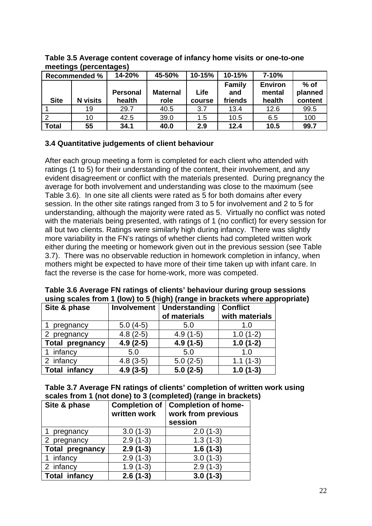|              | °J - 11 -<br><b>Recommended %</b> | - - - -<br>14-20% | 45-50%          | 10-15% | 10-15%        | $7 - 10%$      |         |
|--------------|-----------------------------------|-------------------|-----------------|--------|---------------|----------------|---------|
|              |                                   |                   |                 |        | <b>Family</b> | <b>Environ</b> | $%$ of  |
|              |                                   | <b>Personal</b>   | <b>Maternal</b> | Life   | and           | mental         | planned |
| <b>Site</b>  | <b>N</b> visits                   | health            | role            | course | friends       | health         | content |
|              | 19                                | 29.7              | 40.5            | 3.7    | 13.4          | 12.6           | 99.5    |
| 2            | 10                                | 42.5              | 39.0            | 1.5    | 10.5          | 6.5            | 100     |
| <b>Total</b> | 55                                | 34.1              | 40.0            | 2.9    | 12.4          | 10.5           | 99.7    |

**Table 3.5 Average content coverage of infancy home visits or one-to-one meetings (percentages)**

## **3.4 Quantitative judgements of client behaviour**

After each group meeting a form is completed for each client who attended with ratings (1 to 5) for their understanding of the content, their involvement, and any evident disagreement or conflict with the materials presented. During pregnancy the average for both involvement and understanding was close to the maximum (see Table 3.6). In one site all clients were rated as 5 for both domains after every session. In the other site ratings ranged from 3 to 5 for involvement and 2 to 5 for understanding, although the majority were rated as 5. Virtually no conflict was noted with the materials being presented, with ratings of 1 (no conflict) for every session for all but two clients. Ratings were similarly high during infancy. There was slightly more variability in the FN's ratings of whether clients had completed written work either during the meeting or homework given out in the previous session (see Table 3.7). There was no observable reduction in homework completion in infancy, when mothers might be expected to have more of their time taken up with infant care. In fact the reverse is the case for home-work, more was competed.

| Site & phase           | Involvement | Understanding<br>of materials | <b>Conflict</b><br>with materials |  |  |  |  |
|------------------------|-------------|-------------------------------|-----------------------------------|--|--|--|--|
| pregnancy              | $5.0(4-5)$  | 5.0                           | 1.0                               |  |  |  |  |
| 2 pregnancy            | $4.8(2-5)$  | $4.9(1-5)$                    | $1.0(1-2)$                        |  |  |  |  |
| <b>Total pregnancy</b> | $4.9(2-5)$  | $4.9(1-5)$                    | $1.0(1-2)$                        |  |  |  |  |
| 1 infancy              | 5.0         | 5.0                           | 1.0                               |  |  |  |  |
| 2 infancy              | $4.8(3-5)$  | $5.0(2-5)$                    | $1.1(1-3)$                        |  |  |  |  |
| <b>Total infancy</b>   | $4.9(3-5)$  | $5.0(2-5)$                    | $1.0(1-3)$                        |  |  |  |  |

#### **Table 3.6 Average FN ratings of clients' behaviour during group sessions using scales from 1 (low) to 5 (high) (range in brackets where appropriate)**

#### **Table 3.7 Average FN ratings of clients' completion of written work using scales from 1 (not done) to 3 (completed) (range in brackets)**

| Site & phase           | <b>Completion of</b><br>written work | <b>Completion of home-</b><br>work from previous<br>session |
|------------------------|--------------------------------------|-------------------------------------------------------------|
| pregnancy              | $3.0(1-3)$                           | $2.0(1-3)$                                                  |
| pregnancy              | $2.9(1-3)$                           | $1.3(1-3)$                                                  |
| <b>Total pregnancy</b> | $2.9(1-3)$                           | $1.6(1-3)$                                                  |
| 1 infancy              | $2.9(1-3)$                           | $3.0(1-3)$                                                  |
| 2 infancy              | $1.9(1-3)$                           | $2.9(1-3)$                                                  |
| <b>Total infancy</b>   | $2.6(1-3)$                           | $3.0(1-3)$                                                  |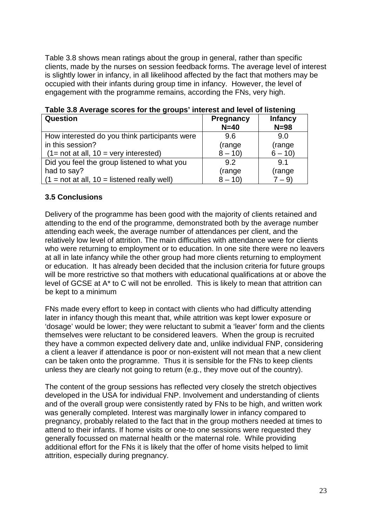Table 3.8 shows mean ratings about the group in general, rather than specific clients, made by the nurses on session feedback forms. The average level of interest is slightly lower in infancy, in all likelihood affected by the fact that mothers may be occupied with their infants during group time in infancy. However, the level of engagement with the programme remains, according the FNs, very high.

| <b>Question</b>                               | <b>Pregnancy</b> | <b>Infancy</b> |
|-----------------------------------------------|------------------|----------------|
|                                               | $N=40$           | $N=98$         |
| How interested do you think participants were | 9.6              | 9.0            |
| in this session?                              | (range           | (range         |
| $(1 = not at all, 10 = very interested)$      | $8 - 10$         | $6 - 10$       |
| Did you feel the group listened to what you   | 9.2              | 9.1            |
| had to say?                                   | (range           | (range         |
| $(1 = not at all, 10 = listened really well)$ | $8 - 10$         | $7 - 9$        |

|  | Table 3.8 Average scores for the groups' interest and level of listening |
|--|--------------------------------------------------------------------------|
|--|--------------------------------------------------------------------------|

## **3.5 Conclusions**

Delivery of the programme has been good with the majority of clients retained and attending to the end of the programme, demonstrated both by the average number attending each week, the average number of attendances per client, and the relatively low level of attrition. The main difficulties with attendance were for clients who were returning to employment or to education. In one site there were no leavers at all in late infancy while the other group had more clients returning to employment or education. It has already been decided that the inclusion criteria for future groups will be more restrictive so that mothers with educational qualifications at or above the level of GCSE at A\* to C will not be enrolled. This is likely to mean that attrition can be kept to a minimum

FNs made every effort to keep in contact with clients who had difficulty attending later in infancy though this meant that, while attrition was kept lower exposure or 'dosage' would be lower; they were reluctant to submit a 'leaver' form and the clients themselves were reluctant to be considered leavers. When the group is recruited they have a common expected delivery date and, unlike individual FNP, considering a client a leaver if attendance is poor or non-existent will not mean that a new client can be taken onto the programme. Thus it is sensible for the FNs to keep clients unless they are clearly not going to return (e.g., they move out of the country).

The content of the group sessions has reflected very closely the stretch objectives developed in the USA for individual FNP. Involvement and understanding of clients and of the overall group were consistently rated by FNs to be high, and written work was generally completed. Interest was marginally lower in infancy compared to pregnancy, probably related to the fact that in the group mothers needed at times to attend to their infants. If home visits or one-to one sessions were requested they generally focussed on maternal health or the maternal role. While providing additional effort for the FNs it is likely that the offer of home visits helped to limit attrition, especially during pregnancy.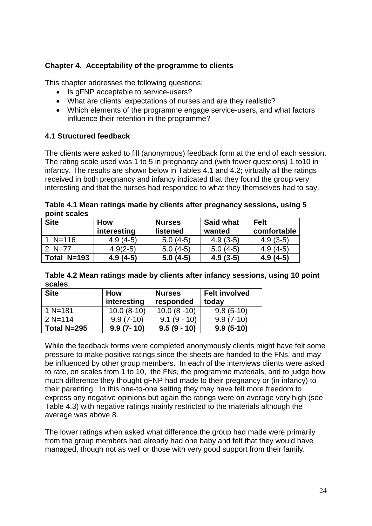## **Chapter 4. Acceptability of the programme to clients**

This chapter addresses the following questions:

- Is gFNP acceptable to service-users?
- What are clients' expectations of nurses and are they realistic?
- Which elements of the programme engage service-users, and what factors influence their retention in the programme?

## **4.1 Structured feedback**

The clients were asked to fill (anonymous) feedback form at the end of each session. The rating scale used was 1 to 5 in pregnancy and (with fewer questions) 1 to10 in infancy. The results are shown below in Tables 4.1 and 4.2; virtually all the ratings received in both pregnancy and infancy indicated that they found the group very interesting and that the nurses had responded to what they themselves had to say.

**Table 4.1 Mean ratings made by clients after pregnancy sessions, using 5 point scales**

| <b>Site</b> | <b>How</b><br>interesting | <b>Nurses</b><br>listened | <b>Said what</b><br>wanted | <b>Felt</b><br>comfortable |
|-------------|---------------------------|---------------------------|----------------------------|----------------------------|
| $1 N=116$   | $4.9(4-5)$                | $5.0(4-5)$                | $4.9(3-5)$                 | $4.9(3-5)$                 |
| 2 $N=77$    | $4.9(2-5)$                | $5.0(4-5)$                | $5.0(4-5)$                 | $4.9(4-5)$                 |
| Total N=193 | $4.9(4-5)$                | $5.0(4-5)$                | $4.9(3-5)$                 | $4.9(4-5)$                 |

| Table 4.2 Mean ratings made by clients after infancy sessions, using 10 point |  |
|-------------------------------------------------------------------------------|--|
| scales                                                                        |  |

| <b>Site</b> | <b>How</b>    | <b>Nurses</b> | <b>Felt involved</b> |
|-------------|---------------|---------------|----------------------|
|             | interesting   | responded     | today                |
| 1 N=181     | $10.0(8-10)$  | $10.0(8-10)$  | $9.8(5-10)$          |
| $2 N = 114$ | $9.9(7-10)$   | $9.1(9 - 10)$ | $9.9(7-10)$          |
| Total N=295 | $9.9(7 - 10)$ | $9.5(9 - 10)$ | $9.9(5-10)$          |

While the feedback forms were completed anonymously clients might have felt some pressure to make positive ratings since the sheets are handed to the FNs, and may be influenced by other group members. In each of the interviews clients were asked to rate, on scales from 1 to 10, the FNs, the programme materials, and to judge how much difference they thought gFNP had made to their pregnancy or (in infancy) to their parenting. In this one-to-one setting they may have felt more freedom to express any negative opinions but again the ratings were on average very high (see Table 4.3) with negative ratings mainly restricted to the materials although the average was above 8.

The lower ratings when asked what difference the group had made were primarily from the group members had already had one baby and felt that they would have managed, though not as well or those with very good support from their family.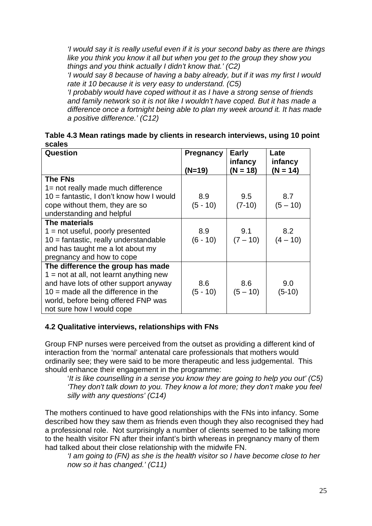*'I would say it is really useful even if it is your second baby as there are things like you think you know it all but when you get to the group they show you things and you think actually I didn't know that.' (C2)*

*'I would say 8 because of having a baby already, but if it was my first I would rate it 10 because it is very easy to understand. (C5)*

*'I probably would have coped without it as I have a strong sense of friends and family network so it is not like I wouldn't have coped. But it has made a difference once a fortnight being able to plan my week around it. It has made a positive difference.' (C12)* 

| Table 4.3 Mean ratings made by clients in research interviews, using 10 point |  |
|-------------------------------------------------------------------------------|--|
| scales                                                                        |  |

| Question                                   | <b>Pregnancy</b> | <b>Early</b>          | Late                  |
|--------------------------------------------|------------------|-----------------------|-----------------------|
|                                            | $(N=19)$         | infancy<br>$(N = 18)$ | infancy<br>$(N = 14)$ |
| <b>The FNs</b>                             |                  |                       |                       |
| 1= not really made much difference         |                  |                       |                       |
| $10 =$ fantastic, I don't know how I would | 8.9              | 9.5                   | 8.7                   |
| cope without them, they are so             | $(5 - 10)$       | $(7-10)$              | $(5 - 10)$            |
| understanding and helpful                  |                  |                       |                       |
| The materials                              |                  |                       |                       |
| $1 = not useful, poorly presented$         | 8.9              | 9.1                   | 8.2                   |
| $10 =$ fantastic, really understandable    | $(6 - 10)$       | $(7 - 10)$            | $(4 - 10)$            |
| and has taught me a lot about my           |                  |                       |                       |
| pregnancy and how to cope                  |                  |                       |                       |
| The difference the group has made          |                  |                       |                       |
| $1 = not$ at all, not learnt anything new  |                  |                       |                       |
| and have lots of other support anyway      | 8.6              | 8.6                   | 9.0                   |
| $10 =$ made all the difference in the      | $(5 - 10)$       | $(5 - 10)$            | $(5-10)$              |
| world, before being offered FNP was        |                  |                       |                       |
| not sure how I would cope                  |                  |                       |                       |

## **4.2 Qualitative interviews, relationships with FNs**

Group FNP nurses were perceived from the outset as providing a different kind of interaction from the 'normal' antenatal care professionals that mothers would ordinarily see; they were said to be more therapeutic and less judgemental. This should enhance their engagement in the programme:

'*It is like counselling in a sense you know they are going to help you out' (C5) 'They don't talk down to you. They know a lot more; they don't make you feel silly with any questions' (C14)*

The mothers continued to have good relationships with the FNs into infancy. Some described how they saw them as friends even though they also recognised they had a professional role. Not surprisingly a number of clients seemed to be talking more to the health visitor FN after their infant's birth whereas in pregnancy many of them had talked about their close relationship with the midwife FN.

*'I am going to (FN) as she is the health visitor so I have become close to her now so it has changed.' (C11)*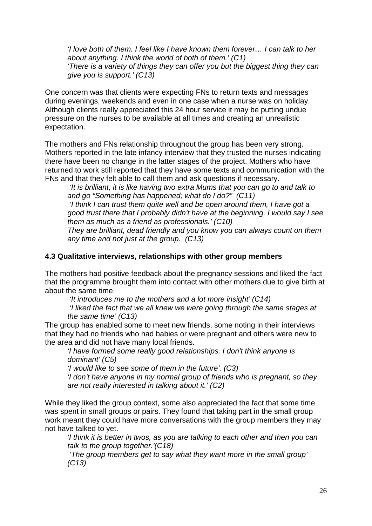*'I love both of them. I feel like I have known them forever… I can talk to her about anything. I think the world of both of them.' (C1) 'There is a variety of things they can offer you but the biggest thing they can give you is support.' (C13)*

One concern was that clients were expecting FNs to return texts and messages during evenings, weekends and even in one case when a nurse was on holiday. Although clients really appreciated this 24 hour service it may be putting undue pressure on the nurses to be available at all times and creating an unrealistic expectation.

The mothers and FNs relationship throughout the group has been very strong. Mothers reported in the late infancy interview that they trusted the nurses indicating there have been no change in the latter stages of the project. Mothers who have returned to work still reported that they have some texts and communication with the FNs and that they felt able to call them and ask questions if necessary.

*'It is brilliant, it is like having two extra Mums that you can go to and talk to and go "Something has happened; what do I do?" (C11)*

*'I think I can trust them quite well and be open around them, I have got a good trust there that I probably didn't have at the beginning. I would say I see them as much as a friend as professionals.' (C10)* 

*They are brilliant, dead friendly and you know you can always count on them any time and not just at the group. (C13)*

## **4.3 Qualitative interviews, relationships with other group members**

The mothers had positive feedback about the pregnancy sessions and liked the fact that the programme brought them into contact with other mothers due to give birth at about the same time.

*'It introduces me to the mothers and a lot more insight' (C14)*

*'I liked the fact that we all knew we were going through the same stages at the same time' (C13)*

The group has enabled some to meet new friends, some noting in their interviews that they had no friends who had babies or were pregnant and others were new to the area and did not have many local friends.

*'I have formed some really good relationships. I don't think anyone is dominant' (C5)*

*'I would like to see some of them in the future'. (C3)*

*'I don't have anyone in my normal group of friends who is pregnant, so they are not really interested in talking about it.' (C2)*

While they liked the group context, some also appreciated the fact that some time was spent in small groups or pairs. They found that taking part in the small group work meant they could have more conversations with the group members they may not have talked to yet.

*'I think it is better in twos, as you are talking to each other and then you can talk to the group together.'(C18)*

*'The group members get to say what they want more in the small group' (C13)*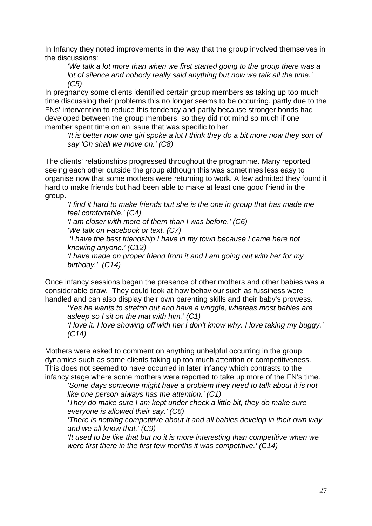In Infancy they noted improvements in the way that the group involved themselves in the discussions:

*'We talk a lot more than when we first started going to the group there was a lot of silence and nobody really said anything but now we talk all the time.' (C5)*

In pregnancy some clients identified certain group members as taking up too much time discussing their problems this no longer seems to be occurring, partly due to the FNs' intervention to reduce this tendency and partly because stronger bonds had developed between the group members, so they did not mind so much if one member spent time on an issue that was specific to her.

*'It is better now one girl spoke a lot I think they do a bit more now they sort of say 'Oh shall we move on.' (C8)*

The clients' relationships progressed throughout the programme. Many reported seeing each other outside the group although this was sometimes less easy to organise now that some mothers were returning to work. A few admitted they found it hard to make friends but had been able to make at least one good friend in the group.

*'I find it hard to make friends but she is the one in group that has made me feel comfortable.' (C4)*

*'I am closer with more of them than I was before.' (C6) 'We talk on Facebook or text. (C7)*

*'I have the best friendship I have in my town because I came here not knowing anyone.' (C12)*

*'I have made on proper friend from it and I am going out with her for my birthday.' (C14)*

Once infancy sessions began the presence of other mothers and other babies was a considerable draw. They could look at how behaviour such as fussiness were handled and can also display their own parenting skills and their baby's prowess.

*'Yes he wants to stretch out and have a wriggle, whereas most babies are asleep so I sit on the mat with him.' (C1)*

*'I love it. I love showing off with her I don't know why. I love taking my buggy.' (C14)*

Mothers were asked to comment on anything unhelpful occurring in the group dynamics such as some clients taking up too much attention or competitiveness. This does not seemed to have occurred in later infancy which contrasts to the infancy stage where some mothers were reported to take up more of the FN's time.

*'Some days someone might have a problem they need to talk about it is not like one person always has the attention.' (C1)*

*'They do make sure I am kept under check a little bit, they do make sure everyone is allowed their say.' (C6)* 

*'There is nothing competitive about it and all babies develop in their own way and we all know that.' (C9)*

*'It used to be like that but no it is more interesting than competitive when we were first there in the first few months it was competitive.' (C14)*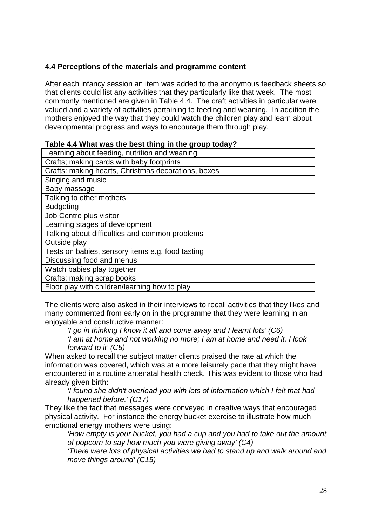## **4.4 Perceptions of the materials and programme content**

After each infancy session an item was added to the anonymous feedback sheets so that clients could list any activities that they particularly like that week. The most commonly mentioned are given in Table 4.4. The craft activities in particular were valued and a variety of activities pertaining to feeding and weaning. In addition the mothers enjoyed the way that they could watch the children play and learn about developmental progress and ways to encourage them through play.

| $1800$ $-1$ $-11100$ $-100$ $-110$ $-100$ $-1111$ $-110$ $-110$ $-110$ |
|------------------------------------------------------------------------|
| Learning about feeding, nutrition and weaning                          |
| Crafts; making cards with baby footprints                              |
| Crafts: making hearts, Christmas decorations, boxes                    |
| Singing and music                                                      |
| Baby massage                                                           |
| Talking to other mothers                                               |
| <b>Budgeting</b>                                                       |
| Job Centre plus visitor                                                |
| Learning stages of development                                         |
| Talking about difficulties and common problems                         |
| Outside play                                                           |
| Tests on babies, sensory items e.g. food tasting                       |
| Discussing food and menus                                              |
| Watch babies play together                                             |
| Crafts: making scrap books                                             |
| Floor play with children/learning how to play                          |
|                                                                        |

## **Table 4.4 What was the best thing in the group today?**

The clients were also asked in their interviews to recall activities that they likes and many commented from early on in the programme that they were learning in an enjoyable and constructive manner:

*'I go in thinking I know it all and come away and I learnt lots' (C6) 'I am at home and not working no more; I am at home and need it. I look forward to it' (C5)*

When asked to recall the subject matter clients praised the rate at which the information was covered, which was at a more leisurely pace that they might have encountered in a routine antenatal health check. This was evident to those who had already given birth:

*'I found she didn't overload you with lots of information which I felt that had happened before.' (C17)*

They like the fact that messages were conveyed in creative ways that encouraged physical activity. For instance the energy bucket exercise to illustrate how much emotional energy mothers were using:

*'How empty is your bucket, you had a cup and you had to take out the amount of popcorn to say how much you were giving away' (C4)*

*'There were lots of physical activities we had to stand up and walk around and move things around' (C15)*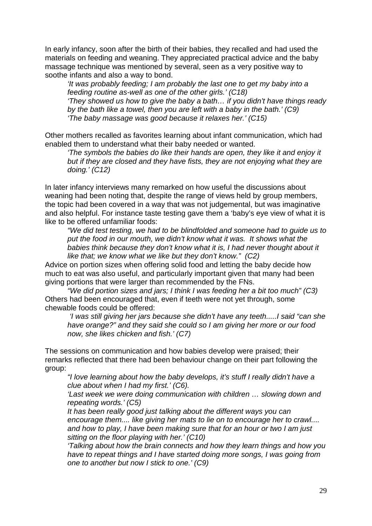In early infancy, soon after the birth of their babies, they recalled and had used the materials on feeding and weaning. They appreciated practical advice and the baby massage technique was mentioned by several, seen as a very positive way to soothe infants and also a way to bond.

*'It was probably feeding; I am probably the last one to get my baby into a feeding routine as-well as one of the other girls.' (C18) 'They showed us how to give the baby a bath… if you didn't have things ready by the bath like a towel, then you are left with a baby in the bath.' (C9) 'The baby massage was good because it relaxes her.' (C15)*

Other mothers recalled as favorites learning about infant communication, which had enabled them to understand what their baby needed or wanted.

*'The symbols the babies do like their hands are open, they like it and enjoy it but if they are closed and they have fists, they are not enjoying what they are doing.' (C12)* 

In later infancy interviews many remarked on how useful the discussions about weaning had been noting that, despite the range of views held by group members, the topic had been covered in a way that was not judgemental, but was imaginative and also helpful. For instance taste testing gave them a 'baby's eye view of what it is like to be offered unfamiliar foods:

*"We did test testing, we had to be blindfolded and someone had to guide us to put the food in our mouth, we didn't know what it was. It shows what the babies think because they don't know what it is, I had never thought about it like that; we know what we like but they don't know." (C2)*

Advice on portion sizes when offering solid food and letting the baby decide how much to eat was also useful, and particularly important given that many had been giving portions that were larger than recommended by the FNs.

*"We did portion sizes and jars; I think I was feeding her a bit too much" (C3)* Others had been encouraged that, even if teeth were not yet through, some chewable foods could be offered:

*'I was still giving her jars because she didn't have any teeth.....I said "can she have orange?" and they said she could so I am giving her more or our food now, she likes chicken and fish.' (C7)*

The sessions on communication and how babies develop were praised; their remarks reflected that there had been behaviour change on their part following the group:

*"I love learning about how the baby develops, it's stuff I really didn't have a clue about when I had my first.' (C6).*

*'Last week we were doing communication with children … slowing down and repeating words.' (C5)*

*It has been really good just talking about the different ways you can encourage them.... like giving her mats to lie on to encourage her to crawl.... and how to play, I have been making sure that for an hour or two I am just sitting on the floor playing with her.' (C10)*

*'Talking about how the brain connects and how they learn things and how you have to repeat things and I have started doing more songs, I was going from one to another but now I stick to one.' (C9)*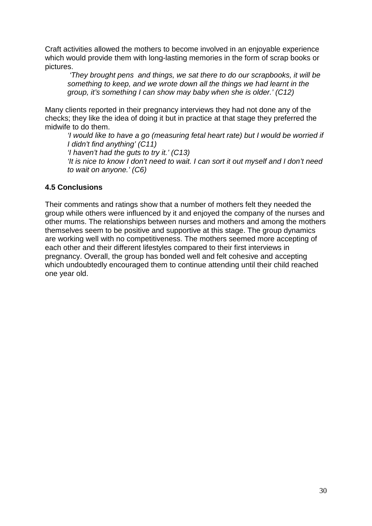Craft activities allowed the mothers to become involved in an enjoyable experience which would provide them with long-lasting memories in the form of scrap books or pictures.

*'They brought pens and things, we sat there to do our scrapbooks, it will be something to keep, and we wrote down all the things we had learnt in the group, it's something I can show may baby when she is older.' (C12)*

Many clients reported in their pregnancy interviews they had not done any of the checks; they like the idea of doing it but in practice at that stage they preferred the midwife to do them.

*'I would like to have a go (measuring fetal heart rate) but I would be worried if I didn't find anything' (C11) 'I haven't had the guts to try it.' (C13) 'It is nice to know I don't need to wait. I can sort it out myself and I don't need to wait on anyone.' (C6)*

## **4.5 Conclusions**

Their comments and ratings show that a number of mothers felt they needed the group while others were influenced by it and enjoyed the company of the nurses and other mums. The relationships between nurses and mothers and among the mothers themselves seem to be positive and supportive at this stage. The group dynamics are working well with no competitiveness. The mothers seemed more accepting of each other and their different lifestyles compared to their first interviews in pregnancy. Overall, the group has bonded well and felt cohesive and accepting which undoubtedly encouraged them to continue attending until their child reached one year old.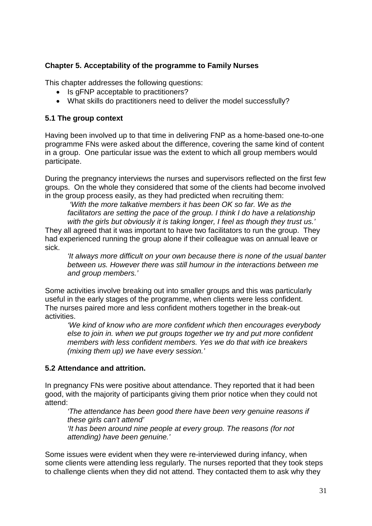## **Chapter 5. Acceptability of the programme to Family Nurses**

This chapter addresses the following questions:

- Is gFNP acceptable to practitioners?
- What skills do practitioners need to deliver the model successfully?

## **5.1 The group context**

Having been involved up to that time in delivering FNP as a home-based one-to-one programme FNs were asked about the difference, covering the same kind of content in a group. One particular issue was the extent to which all group members would participate.

During the pregnancy interviews the nurses and supervisors reflected on the first few groups. On the whole they considered that some of the clients had become involved in the group process easily, as they had predicted when recruiting them:

*'With the more talkative members it has been OK so far. We as the*  facilitators are setting the pace of the group. I think I do have a relationship *with the girls but obviously it is taking longer, I feel as though they trust us.'*

They all agreed that it was important to have two facilitators to run the group. They had experienced running the group alone if their colleague was on annual leave or sick.

*'It always more difficult on your own because there is none of the usual banter between us. However there was still humour in the interactions between me and group members.'*

Some activities involve breaking out into smaller groups and this was particularly useful in the early stages of the programme, when clients were less confident. The nurses paired more and less confident mothers together in the break-out activities.

*'We kind of know who are more confident which then encourages everybody else to join in. when we put groups together we try and put more confident members with less confident members. Yes we do that with ice breakers (mixing them up) we have every session.'*

## **5.2 Attendance and attrition.**

In pregnancy FNs were positive about attendance. They reported that it had been good, with the majority of participants giving them prior notice when they could not attend:

*'The attendance has been good there have been very genuine reasons if these girls can't attend' 'It has been around nine people at every group. The reasons (for not* 

*attending) have been genuine.'*

Some issues were evident when they were re-interviewed during infancy, when some clients were attending less regularly. The nurses reported that they took steps to challenge clients when they did not attend. They contacted them to ask why they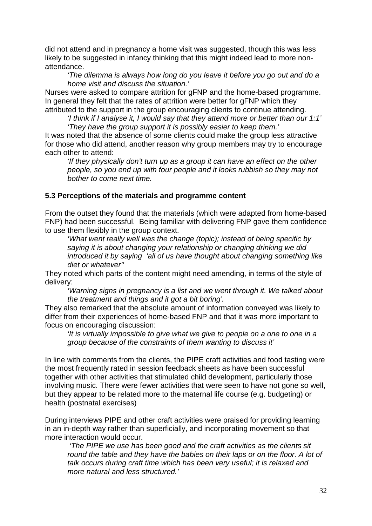did not attend and in pregnancy a home visit was suggested, though this was less likely to be suggested in infancy thinking that this might indeed lead to more nonattendance.

*'The dilemma is always how long do you leave it before you go out and do a home visit and discuss the situation.'*

Nurses were asked to compare attrition for gFNP and the home-based programme. In general they felt that the rates of attrition were better for gFNP which they attributed to the support in the group encouraging clients to continue attending.

*'I think if I analyse it, I would say that they attend more or better than our 1:1' 'They have the group support it is possibly easier to keep them.'* 

It was noted that the absence of some clients could make the group less attractive for those who did attend, another reason why group members may try to encourage each other to attend:

*'If they physically don't turn up as a group it can have an effect on the other people, so you end up with four people and it looks rubbish so they may not bother to come next time.* 

#### **5.3 Perceptions of the materials and programme content**

From the outset they found that the materials (which were adapted from home-based FNP) had been successful. Being familiar with delivering FNP gave them confidence to use them flexibly in the group context.

*'What went really well was the change (topic); instead of being specific by saying it is about changing your relationship or changing drinking we did introduced it by saying 'all of us have thought about changing something like diet or whatever''*

They noted which parts of the content might need amending, in terms of the style of delivery:

*'Warning signs in pregnancy is a list and we went through it. We talked about the treatment and things and it got a bit boring'.*

They also remarked that the absolute amount of information conveyed was likely to differ from their experiences of home-based FNP and that it was more important to focus on encouraging discussion:

*'It is virtually impossible to give what we give to people on a one to one in a group because of the constraints of them wanting to discuss it'*

In line with comments from the clients, the PIPE craft activities and food tasting were the most frequently rated in session feedback sheets as have been successful together with other activities that stimulated child development, particularly those involving music. There were fewer activities that were seen to have not gone so well, but they appear to be related more to the maternal life course (e.g. budgeting) or health (postnatal exercises)

During interviews PIPE and other craft activities were praised for providing learning in an in-depth way rather than superficially, and incorporating movement so that more interaction would occur.

*'The PIPE we use has been good and the craft activities as the clients sit*  round the table and they have the babies on their laps or on the floor. A lot of *talk occurs during craft time which has been very useful; it is relaxed and more natural and less structured.'*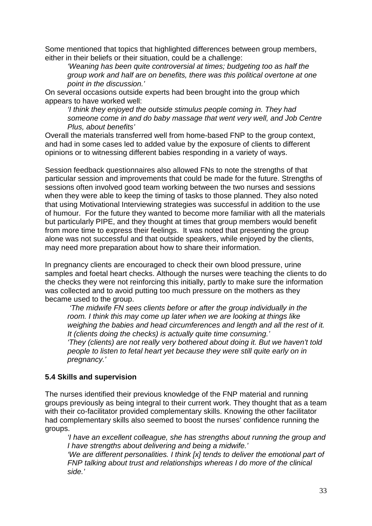Some mentioned that topics that highlighted differences between group members, either in their beliefs or their situation, could be a challenge:

*'Weaning has been quite controversial at times; budgeting too as half the group work and half are on benefits, there was this political overtone at one point in the discussion.'*

On several occasions outside experts had been brought into the group which appears to have worked well:

*'I think they enjoyed the outside stimulus people coming in. They had someone come in and do baby massage that went very well, and Job Centre Plus, about benefits'* 

Overall the materials transferred well from home-based FNP to the group context, and had in some cases led to added value by the exposure of clients to different opinions or to witnessing different babies responding in a variety of ways.

Session feedback questionnaires also allowed FNs to note the strengths of that particular session and improvements that could be made for the future. Strengths of sessions often involved good team working between the two nurses and sessions when they were able to keep the timing of tasks to those planned. They also noted that using Motivational Interviewing strategies was successful in addition to the use of humour. For the future they wanted to become more familiar with all the materials but particularly PIPE, and they thought at times that group members would benefit from more time to express their feelings. It was noted that presenting the group alone was not successful and that outside speakers, while enjoyed by the clients, may need more preparation about how to share their information.

In pregnancy clients are encouraged to check their own blood pressure, urine samples and foetal heart checks. Although the nurses were teaching the clients to do the checks they were not reinforcing this initially, partly to make sure the information was collected and to avoid putting too much pressure on the mothers as they became used to the group.

*'The midwife FN sees clients before or after the group individually in the room. I think this may come up later when we are looking at things like weighing the babies and head circumferences and length and all the rest of it. It (clients doing the checks) is actually quite time consuming.' 'They (clients) are not really very bothered about doing it. But we haven't told people to listen to fetal heart yet because they were still quite early on in pregnancy.'*

#### **5.4 Skills and supervision**

The nurses identified their previous knowledge of the FNP material and running groups previously as being integral to their current work. They thought that as a team with their co-facilitator provided complementary skills. Knowing the other facilitator had complementary skills also seemed to boost the nurses' confidence running the groups.

*'I have an excellent colleague, she has strengths about running the group and I have strengths about delivering and being a midwife.'* 

*'We are different personalities. I think [x] tends to deliver the emotional part of FNP talking about trust and relationships whereas I do more of the clinical side.'*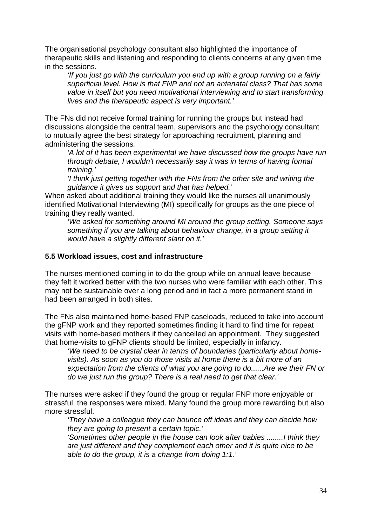The organisational psychology consultant also highlighted the importance of therapeutic skills and listening and responding to clients concerns at any given time in the sessions.

*'If you just go with the curriculum you end up with a group running on a fairly superficial level. How is that FNP and not an antenatal class? That has some value in itself but you need motivational interviewing and to start transforming lives and the therapeutic aspect is very important.'*

The FNs did not receive formal training for running the groups but instead had discussions alongside the central team, supervisors and the psychology consultant to mutually agree the best strategy for approaching recruitment, planning and administering the sessions*.* 

*'A lot of it has been experimental we have discussed how the groups have run through debate, I wouldn't necessarily say it was in terms of having formal training.'*

*'I think just getting together with the FNs from the other site and writing the guidance it gives us support and that has helped.'*

When asked about additional training they would like the nurses all unanimously identified Motivational Interviewing (MI) specifically for groups as the one piece of training they really wanted.

*'We asked for something around MI around the group setting. Someone says*  something if you are talking about behaviour change, in a group setting it *would have a slightly different slant on it.'*

#### **5.5 Workload issues, cost and infrastructure**

The nurses mentioned coming in to do the group while on annual leave because they felt it worked better with the two nurses who were familiar with each other. This may not be sustainable over a long period and in fact a more permanent stand in had been arranged in both sites.

The FNs also maintained home-based FNP caseloads, reduced to take into account the gFNP work and they reported sometimes finding it hard to find time for repeat visits with home-based mothers if they cancelled an appointment. They suggested that home-visits to gFNP clients should be limited, especially in infancy.

*'We need to be crystal clear in terms of boundaries (particularly about homevisits). As soon as you do those visits at home there is a bit more of an expectation from the clients of what you are going to do......Are we their FN or do we just run the group? There is a real need to get that clear.'* 

The nurses were asked if they found the group or regular FNP more enjoyable or stressful, the responses were mixed. Many found the group more rewarding but also more stressful.

*'They have a colleague they can bounce off ideas and they can decide how they are going to present a certain topic.'* 

*'Sometimes other people in the house can look after babies ........I think they are just different and they complement each other and it is quite nice to be able to do the group, it is a change from doing 1:1.'*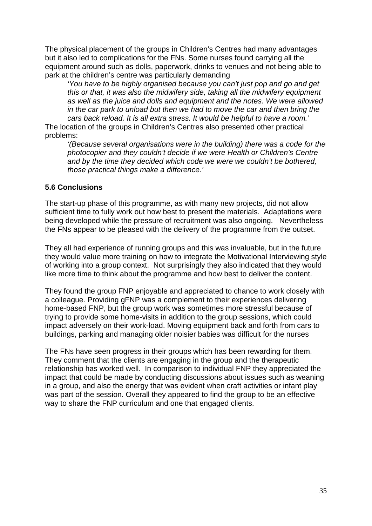The physical placement of the groups in Children's Centres had many advantages but it also led to complications for the FNs. Some nurses found carrying all the equipment around such as dolls, paperwork, drinks to venues and not being able to park at the children's centre was particularly demanding

*'You have to be highly organised because you can't just pop and go and get this or that, it was also the midwifery side, taking all the midwifery equipment as well as the juice and dolls and equipment and the notes. We were allowed in the car park to unload but then we had to move the car and then bring the cars back reload. It is all extra stress. It would be helpful to have a room.'* 

The location of the groups in Children's Centres also presented other practical problems:

*'(Because several organisations were in the building) there was a code for the photocopier and they couldn't decide if we were Health or Children's Centre*  and by the time they decided which code we were we couldn't be bothered. *those practical things make a difference.'* 

#### **5.6 Conclusions**

The start-up phase of this programme, as with many new projects, did not allow sufficient time to fully work out how best to present the materials. Adaptations were being developed while the pressure of recruitment was also ongoing. Nevertheless the FNs appear to be pleased with the delivery of the programme from the outset.

They all had experience of running groups and this was invaluable, but in the future they would value more training on how to integrate the Motivational Interviewing style of working into a group context. Not surprisingly they also indicated that they would like more time to think about the programme and how best to deliver the content.

They found the group FNP enjoyable and appreciated to chance to work closely with a colleague. Providing gFNP was a complement to their experiences delivering home-based FNP, but the group work was sometimes more stressful because of trying to provide some home-visits in addition to the group sessions, which could impact adversely on their work-load. Moving equipment back and forth from cars to buildings, parking and managing older noisier babies was difficult for the nurses

The FNs have seen progress in their groups which has been rewarding for them. They comment that the clients are engaging in the group and the therapeutic relationship has worked well. In comparison to individual FNP they appreciated the impact that could be made by conducting discussions about issues such as weaning in a group, and also the energy that was evident when craft activities or infant play was part of the session. Overall they appeared to find the group to be an effective way to share the FNP curriculum and one that engaged clients.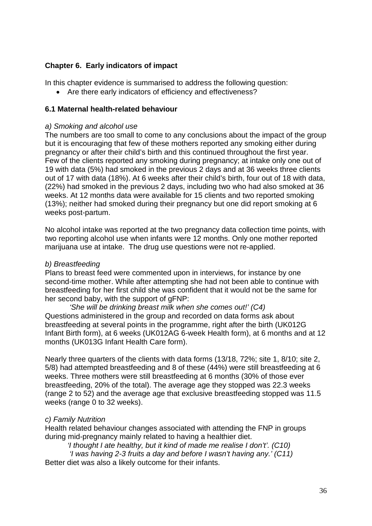## **Chapter 6. Early indicators of impact**

In this chapter evidence is summarised to address the following question:

• Are there early indicators of efficiency and effectiveness?

#### **6.1 Maternal health-related behaviour**

#### *a) Smoking and alcohol use*

The numbers are too small to come to any conclusions about the impact of the group but it is encouraging that few of these mothers reported any smoking either during pregnancy or after their child's birth and this continued throughout the first year. Few of the clients reported any smoking during pregnancy; at intake only one out of 19 with data (5%) had smoked in the previous 2 days and at 36 weeks three clients out of 17 with data (18%). At 6 weeks after their child's birth, four out of 18 with data, (22%) had smoked in the previous 2 days, including two who had also smoked at 36 weeks. At 12 months data were available for 15 clients and two reported smoking (13%); neither had smoked during their pregnancy but one did report smoking at 6 weeks post-partum.

No alcohol intake was reported at the two pregnancy data collection time points, with two reporting alcohol use when infants were 12 months. Only one mother reported marijuana use at intake. The drug use questions were not re-applied.

#### *b) Breastfeeding*

Plans to breast feed were commented upon in interviews, for instance by one second-time mother. While after attempting she had not been able to continue with breastfeeding for her first child she was confident that it would not be the same for her second baby, with the support of gFNP:

*'She will be drinking breast milk when she comes out!' (C4)* Questions administered in the group and recorded on data forms ask about breastfeeding at several points in the programme, right after the birth (UK012G Infant Birth form), at 6 weeks (UK012AG 6-week Health form), at 6 months and at 12 months (UK013G Infant Health Care form).

Nearly three quarters of the clients with data forms (13/18, 72%; site 1, 8/10; site 2, 5/8) had attempted breastfeeding and 8 of these (44%) were still breastfeeding at 6 weeks. Three mothers were still breastfeeding at 6 months (30% of those ever breastfeeding, 20% of the total). The average age they stopped was 22.3 weeks (range 2 to 52) and the average age that exclusive breastfeeding stopped was 11.5 weeks (range 0 to 32 weeks).

#### *c) Family Nutrition*

Health related behaviour changes associated with attending the FNP in groups during mid-pregnancy mainly related to having a healthier diet.

*'I thought I ate healthy, but it kind of made me realise I don't'. (C10)*

*'I was having 2-3 fruits a day and before I wasn't having any.' (C11)* Better diet was also a likely outcome for their infants.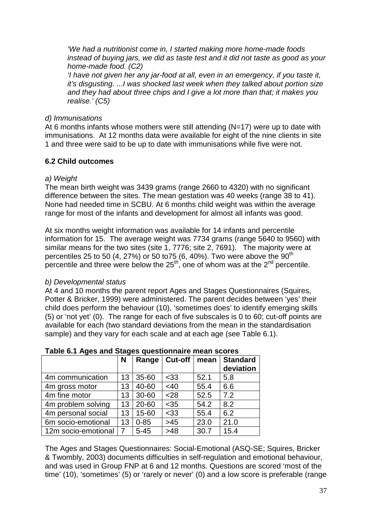*'We had a nutritionist come in, I started making more home-made foods instead of buying jars, we did as taste test and it did not taste as good as your home-made food. (C2)*

*'I have not given her any jar-food at all, even in an emergency, if you taste it, it's disgusting. ...I was shocked last week when they talked about portion size and they had about three chips and I give a lot more than that; it makes you realise.' (C5)*

## *d) Immunisations*

At 6 months infants whose mothers were still attending (N=17) were up to date with immunisations. At 12 months data were available for eight of the nine clients in site 1 and three were said to be up to date with immunisations while five were not.

## **6.2 Child outcomes**

## *a) Weight*

The mean birth weight was 3439 grams (range 2660 to 4320) with no significant difference between the sites. The mean gestation was 40 weeks (range 38 to 41). None had needed time in SCBU. At 6 months child weight was within the average range for most of the infants and development for almost all infants was good.

At six months weight information was available for 14 infants and percentile information for 15. The average weight was 7734 grams (range 5640 to 9560) with similar means for the two sites (site 1, 7776; site 2, 7691). The majority were at percentiles 25 to 50 (4, 27%) or 50 to 75 (6, 40%). Two were above the  $90^{th}$ percentile and three were below the  $25<sup>th</sup>$ , one of whom was at the  $2<sup>nd</sup>$  percentile.

## *b) Developmental status*

At 4 and 10 months the parent report Ages and Stages Questionnaires (Squires, Potter & Bricker, 1999) were administered. The parent decides between 'yes' their child does perform the behaviour (10), 'sometimes does' to identify emerging skills (5) or 'not yet' (0). The range for each of five subscales is 0 to 60; cut-off points are available for each (two standard deviations from the mean in the standardisation sample) and they vary for each scale and at each age (see Table 6.1).

|                     | N  | Range    | Cut-off | mean | <b>Standard</b><br>deviation |
|---------------------|----|----------|---------|------|------------------------------|
| 4m communication    | 13 | 35-60    | $33$    | 52.1 | 5.8                          |
| 4m gross motor      | 13 | 40-60    | <40     | 55.4 | 6.6                          |
| 4m fine motor       | 13 | 30-60    | $28$    | 52.5 | 7.2                          |
| 4m problem solving  | 13 | 20-60    | $35$    | 54.2 | 8.2                          |
| 4m personal social  | 13 | 15-60    | $33$    | 55.4 | 6.2                          |
| 6m socio-emotional  | 13 | $0 - 85$ | $>45$   | 23.0 | 21.0                         |
| 12m socio-emotional | 7  | $5 - 45$ | $>48$   | 30.7 | 15.4                         |

## **Table 6.1 Ages and Stages questionnaire mean scores**

The Ages and Stages Questionnaires: Social-Emotional (ASQ-SE; Squires, Bricker & Twombly, 2003) documents difficulties in self-regulation and emotional behaviour, and was used in Group FNP at 6 and 12 months. Questions are scored 'most of the time' (10), 'sometimes' (5) or 'rarely or never' (0) and a low score is preferable (range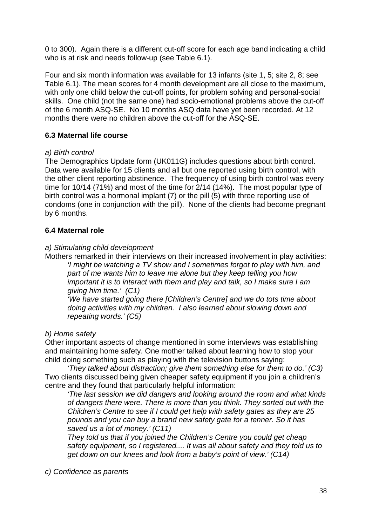0 to 300). Again there is a different cut-off score for each age band indicating a child who is at risk and needs follow-up (see Table 6.1).

Four and six month information was available for 13 infants (site 1, 5; site 2, 8; see Table 6.1). The mean scores for 4 month development are all close to the maximum, with only one child below the cut-off points, for problem solving and personal-social skills. One child (not the same one) had socio-emotional problems above the cut-off of the 6 month ASQ-SE. No 10 months ASQ data have yet been recorded. At 12 months there were no children above the cut-off for the ASQ-SE.

## **6.3 Maternal life course**

## *a) Birth control*

The Demographics Update form (UK011G) includes questions about birth control. Data were available for 15 clients and all but one reported using birth control, with the other client reporting abstinence. The frequency of using birth control was every time for 10/14 (71%) and most of the time for 2/14 (14%). The most popular type of birth control was a hormonal implant (7) or the pill (5) with three reporting use of condoms (one in conjunction with the pill). None of the clients had become pregnant by 6 months.

## **6.4 Maternal role**

## *a) Stimulating child development*

Mothers remarked in their interviews on their increased involvement in play activities: *'I might be watching a TV show and I sometimes forgot to play with him, and part of me wants him to leave me alone but they keep telling you how important it is to interact with them and play and talk, so I make sure I am giving him time.' (C1)*

*'We have started going there [Children's Centre] and we do tots time about doing activities with my children. I also learned about slowing down and repeating words.' (C5)* 

## *b) Home safety*

Other important aspects of change mentioned in some interviews was establishing and maintaining home safety. One mother talked about learning how to stop your child doing something such as playing with the television buttons saying:

*'They talked about distraction; give them something else for them to do.' (C3)*  Two clients discussed being given cheaper safety equipment if you join a children's centre and they found that particularly helpful information:

*'The last session we did dangers and looking around the room and what kinds of dangers there were. There is more than you think. They sorted out with the Children's Centre to see if I could get help with safety gates as they are 25 pounds and you can buy a brand new safety gate for a tenner. So it has saved us a lot of money.' (C11)*

*They told us that if you joined the Children's Centre you could get cheap safety equipment, so I registered.... It was all about safety and they told us to get down on our knees and look from a baby's point of view.' (C14)*

*c) Confidence as parents*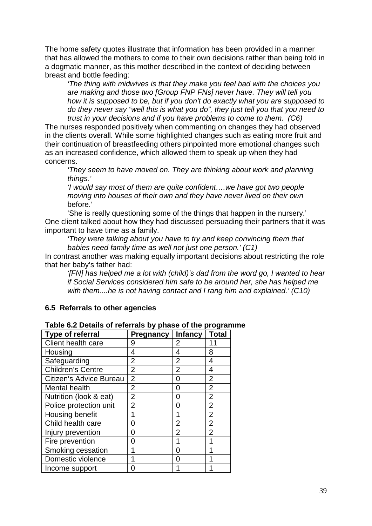The home safety quotes illustrate that information has been provided in a manner that has allowed the mothers to come to their own decisions rather than being told in a dogmatic manner, as this mother described in the context of deciding between breast and bottle feeding:

*'The thing with midwives is that they make you feel bad with the choices you are making and those two [Group FNP FNs] never have. They will tell you how it is supposed to be, but if you don't do exactly what you are supposed to do they never say "well this is what you do", they just tell you that you need to trust in your decisions and if you have problems to come to them. (C6)*

The nurses responded positively when commenting on changes they had observed in the clients overall. While some highlighted changes such as eating more fruit and their continuation of breastfeeding others pinpointed more emotional changes such as an increased confidence, which allowed them to speak up when they had concerns.

*'They seem to have moved on. They are thinking about work and planning things.'*

*'I would say most of them are quite confident….we have got two people moving into houses of their own and they have never lived on their own*  before.'

'She is really questioning some of the things that happen in the nursery.' One client talked about how they had discussed persuading their partners that it was important to have time as a family.

*'They were talking about you have to try and keep convincing them that babies need family time as well not just one person.' (C1)* 

In contrast another was making equally important decisions about restricting the role that her baby's father had:

*'[FN] has helped me a lot with (child)'s dad from the word go, I wanted to hear if Social Services considered him safe to be around her, she has helped me with them....he is not having contact and I rang him and explained.' (C10)*

#### **6.5 Referrals to other agencies**

| <b>Type of referral</b>  | <b>Pregnancy</b> | <b>Infancy</b> | <b>Total</b>   |
|--------------------------|------------------|----------------|----------------|
| Client health care       | 9                | 2              | 11             |
| Housing                  | 4                | 4              | 8              |
| Safeguarding             | $\overline{2}$   | $\overline{2}$ | 4              |
| <b>Children's Centre</b> | $\overline{2}$   | $\overline{2}$ | 4              |
| Citizen's Advice Bureau  | $\overline{2}$   | 0              | $\overline{2}$ |
| Mental health            | $\overline{2}$   | 0              | $\overline{2}$ |
| Nutrition (look & eat)   | $\overline{2}$   | ი              | $\overline{2}$ |
| Police protection unit   | $\overline{2}$   | O              | $\overline{2}$ |
| Housing benefit          | 1                | 1              | $\overline{2}$ |
| Child health care        | ი                | $\overline{2}$ | $\overline{2}$ |
| Injury prevention        | 0                | 2              | $\overline{2}$ |
| Fire prevention          | 0                | 1              |                |
| Smoking cessation        | 1                | O              |                |
| Domestic violence        |                  | ი              |                |
| Income support           | ი                |                |                |

#### **Table 6.2 Details of referrals by phase of the programme**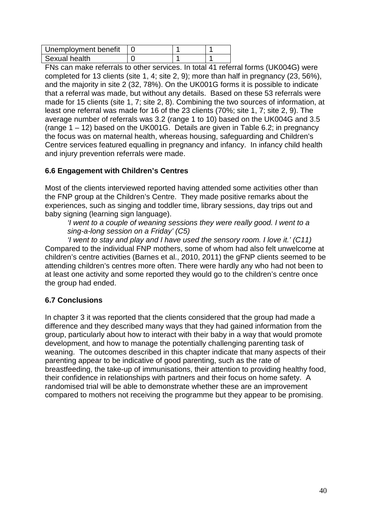| Unemployment benefit |  |  |
|----------------------|--|--|
| Sexual health        |  |  |

FNs can make referrals to other services. In total 41 referral forms (UK004G) were completed for 13 clients (site 1, 4; site 2, 9); more than half in pregnancy (23, 56%), and the majority in site 2 (32, 78%). On the UK001G forms it is possible to indicate that a referral was made, but without any details. Based on these 53 referrals were made for 15 clients (site 1, 7; site 2, 8). Combining the two sources of information, at least one referral was made for 16 of the 23 clients (70%; site 1, 7; site 2, 9). The average number of referrals was 3.2 (range 1 to 10) based on the UK004G and 3.5 (range  $1 - 12$ ) based on the UK001G. Details are given in Table 6.2; in pregnancy the focus was on maternal health, whereas housing, safeguarding and Children's Centre services featured equalling in pregnancy and infancy. In infancy child health and injury prevention referrals were made.

## **6.6 Engagement with Children's Centres**

Most of the clients interviewed reported having attended some activities other than the FNP group at the Children's Centre. They made positive remarks about the experiences, such as singing and toddler time, library sessions, day trips out and baby signing (learning sign language).

*'I went to a couple of weaning sessions they were really good. I went to a sing-a-long session on a Friday' (C5)*

*'I went to stay and play and I have used the sensory room. I love it.' (C11)*  Compared to the individual FNP mothers, some of whom had also felt unwelcome at children's centre activities (Barnes et al., 2010, 2011) the gFNP clients seemed to be attending children's centres more often. There were hardly any who had not been to at least one activity and some reported they would go to the children's centre once the group had ended.

## **6.7 Conclusions**

In chapter 3 it was reported that the clients considered that the group had made a difference and they described many ways that they had gained information from the group, particularly about how to interact with their baby in a way that would promote development, and how to manage the potentially challenging parenting task of weaning. The outcomes described in this chapter indicate that many aspects of their parenting appear to be indicative of good parenting, such as the rate of breastfeeding, the take-up of immunisations, their attention to providing healthy food, their confidence in relationships with partners and their focus on home safety. A randomised trial will be able to demonstrate whether these are an improvement compared to mothers not receiving the programme but they appear to be promising.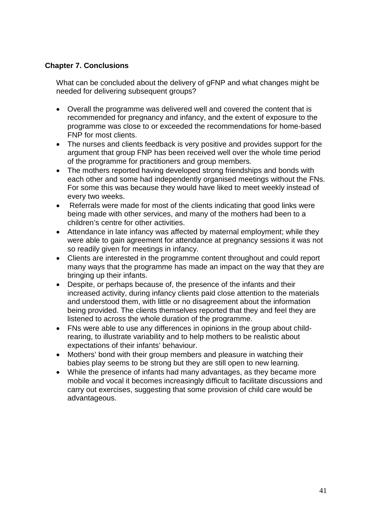## **Chapter 7. Conclusions**

What can be concluded about the delivery of gFNP and what changes might be needed for delivering subsequent groups?

- Overall the programme was delivered well and covered the content that is recommended for pregnancy and infancy, and the extent of exposure to the programme was close to or exceeded the recommendations for home-based FNP for most clients.
- The nurses and clients feedback is very positive and provides support for the argument that group FNP has been received well over the whole time period of the programme for practitioners and group members.
- The mothers reported having developed strong friendships and bonds with each other and some had independently organised meetings without the FNs. For some this was because they would have liked to meet weekly instead of every two weeks.
- Referrals were made for most of the clients indicating that good links were being made with other services, and many of the mothers had been to a children's centre for other activities.
- Attendance in late infancy was affected by maternal employment; while they were able to gain agreement for attendance at pregnancy sessions it was not so readily given for meetings in infancy.
- Clients are interested in the programme content throughout and could report many ways that the programme has made an impact on the way that they are bringing up their infants.
- Despite, or perhaps because of, the presence of the infants and their increased activity, during infancy clients paid close attention to the materials and understood them, with little or no disagreement about the information being provided. The clients themselves reported that they and feel they are listened to across the whole duration of the programme.
- FNs were able to use any differences in opinions in the group about childrearing, to illustrate variability and to help mothers to be realistic about expectations of their infants' behaviour.
- Mothers' bond with their group members and pleasure in watching their babies play seems to be strong but they are still open to new learning.
- While the presence of infants had many advantages, as they became more mobile and vocal it becomes increasingly difficult to facilitate discussions and carry out exercises, suggesting that some provision of child care would be advantageous.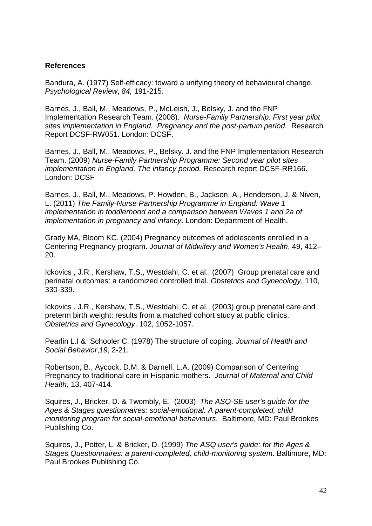#### **References**

Bandura, A. (1977) Self-efficacy: toward a unifying theory of behavioural change. *Psychological Review*, *84,* 191-215.

Barnes, J., Ball, M., Meadows, P., McLeish, J., Belsky, J. and the FNP Implementation Research Team. (2008). *Nurse-Family Partnership: First year pilot sites implementation in England. Pregnancy and the post-partum period.* Research Report DCSF-RW051. London: DCSF.

Barnes, J., Ball, M., Meadows, P., Belsky. J. and the FNP Implementation Research Team. (2009) *Nurse-Family Partnership Programme: Second year pilot sites implementation in England. The infancy period.* Research report DCSF-RR166. London: DCSF

Barnes, J., Ball, M., Meadows, P. Howden, B., Jackson, A., Henderson, J. & Niven, L. (2011) *The Family-Nurse Partnership Programme in England: Wave 1 implementation in toddlerhood and a comparison between Waves 1 and 2a of implementation in pregnancy and infancy*. London: Department of Health.

Grady MA, Bloom KC. (2004) Pregnancy outcomes of adolescents enrolled in a Centering Pregnancy program. *Journal of Midwifery and Women's Health*, 49, 412– 20.

Ickovics , J.R., Kershaw, T.S., Westdahl, C. et al., (2007) Group prenatal care and perinatal outcomes: a randomized controlled trial. *Obstetrics and Gynecology*, 110, 330-339.

Ickovics , J.R., Kershaw, T.S., Westdahl, C. et al., (2003) group prenatal care and preterm birth weight: results from a matched cohort study at public clinics. *Obstetrics and Gynecology*, 102, 1052-1057.

Pearlin L.I & Schooler C. (1978) The structure of coping. *Journal of Health and Social Behavior*,*19*, 2-21.

Robertson, B., Aycock, D.M. & Darnell, L.A. (2009) Comparison of Centering Pregnancy to traditional care in Hispanic mothers. *Journal of Maternal and Child Health*, 13, 407-414.

Squires, J., Bricker, D. & Twombly, E. (2003) *The ASQ-SE user's guide for the Ages & Stages questionnaires: social-emotional. A parent-completed, child monitoring program for social-emotional behaviours*. Baltimore, MD: Paul Brookes Publishing Co.

Squires, J., Potter, L. & Bricker, D. (1999) *The ASQ user's guide: for the Ages & Stages Questionnaires: a parent-completed, child-monitoring system*. Baltimore, MD: Paul Brookes Publishing Co.